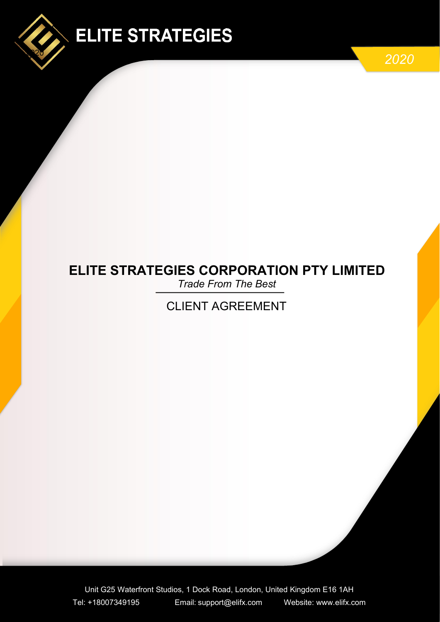

# **ELITE STRATEGIES**

1

# **ELITE STRATEGIES CORPORATION PTY LIMITED**

*Trade From The Best*

# CLIENT AGREEMENT

Unit G25 Waterfront Studios, 1 Dock Road, London, United Kingdom E16 1AH Tel: +18007349195 Email: [support@elifx.co](mailto:support@elifx.c)m Website: www.elifx.com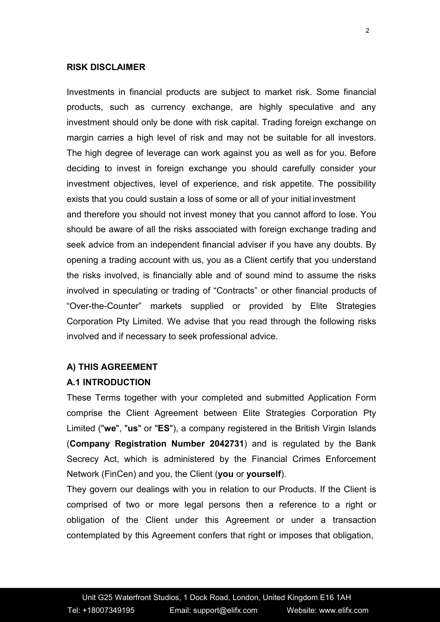#### **RISK DISCLAIMER**

Investments in financial products are subject to market risk. Some financial products, such as currency exchange, are highly speculative and any investment should only be done with risk capital. Trading foreign exchange on margin carries a high level of risk and may not be suitable for all investors. The high degree of leverage can work against you as well as for you. Before deciding to invest in foreign exchange you should carefully consider your investment objectives, level of experience, and risk appetite. The possibility exists that you could sustain a loss of some or all of your initial investment and therefore you should not invest money that you cannot afford to lose. You should be aware of all the risks associated with foreign exchange trading and seek advice from an independent financial adviser if you have any doubts. By opening a trading account with us, you as a Client certify that you understand the risks involved, is financially able and of sound mind to assume the risks involved in speculating or trading of "Contracts" or other financial products of "Over-the-Counter" markets supplied or provided by Elite Strategies Corporation Pty Limited. We advise that you read through the following risks involved and if necessary to seek professional advice.

#### **A) THIS AGREEMENT**

#### **A.1 INTRODUCTION**

These Terms together with your completed and submitted Application Form comprise the Client Agreement between Elite Strategies Corporation Pty Limited ("**we**", "**us**" or "**ES**"), a company registered in the British Virgin Islands (**Company Registration Number 2042731**) and is regulated by the Bank Secrecy Act, which is administered by the Financial Crimes Enforcement Network (FinCen) and you, the Client (**you** or **yourself**).

They govern our dealings with you in relation to our Products. If the Client is comprised of two or more legal persons then a reference to a right or obligation of the Client under this Agreement or under a transaction contemplated by this Agreement confers that right or imposes that obligation,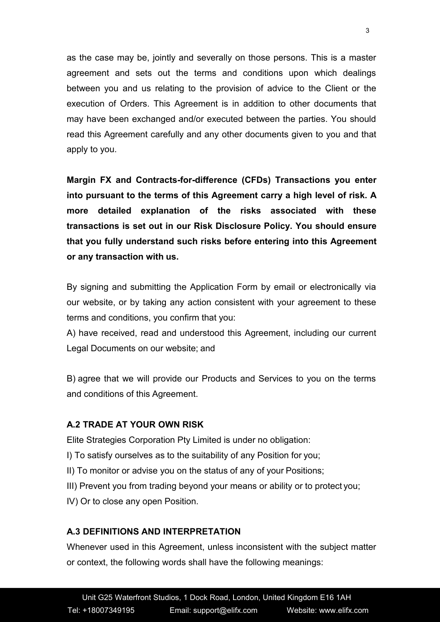as the case may be, jointly and severally on those persons. This is a master agreement and sets out the terms and conditions upon which dealings between you and us relating to the provision of advice to the Client or the execution of Orders. This Agreement is in addition to other documents that may have been exchanged and/or executed between the parties. You should read this Agreement carefully and any other documents given to you and that apply to you.

**Margin FX and Contracts-for-difference (CFDs) Transactions you enter into pursuant to the terms of this Agreement carry a high level of risk. A more detailed explanation of the risks associated with these transactions is set out in our Risk Disclosure Policy. You should ensure that you fully understand such risks before entering into this Agreement or any transaction with us.**

By signing and submitting the Application Form by email or electronically via our website, or by taking any action consistent with your agreement to these terms and conditions, you confirm that you:

A) have received, read and understood this Agreement, including our current Legal Documents on our website; and

B) agree that we will provide our Products and Services to you on the terms and conditions of this Agreement.

# **A.2 TRADE AT YOUR OWN RISK**

Elite Strategies Corporation Pty Limited is under no obligation:

- I) To satisfy ourselves as to the suitability of any Position for you;
- II) To monitor or advise you on the status of any of your Positions;
- III) Prevent you from trading beyond your means or ability or to protect you;
- IV) Or to close any open Position.

### **A.3 DEFINITIONS AND INTERPRETATION**

Whenever used in this Agreement, unless inconsistent with the subject matter or context, the following words shall have the following meanings: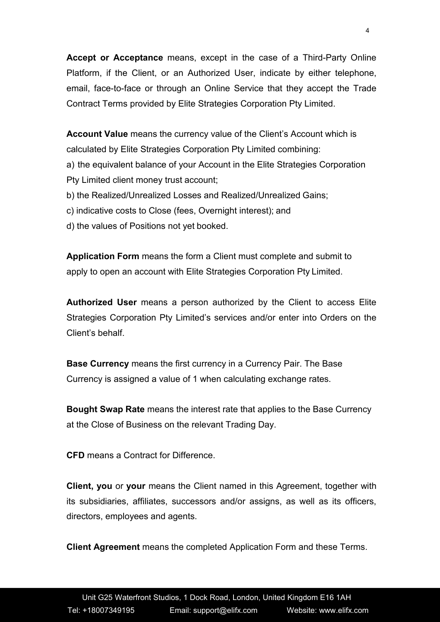**Accept or Acceptance** means, except in the case of a Third-Party Online Platform, if the Client, or an Authorized User, indicate by either telephone, email, face-to-face or through an Online Service that they accept the Trade Contract Terms provided by Elite Strategies Corporation Pty Limited.

**Account Value** means the currency value of the Client's Account which is calculated by Elite Strategies Corporation Pty Limited combining: a) the equivalent balance of your Account in the Elite Strategies Corporation Pty Limited client money trust account; b) the Realized/Unrealized Losses and Realized/Unrealized Gains;

c) indicative costs to Close (fees, Overnight interest); and

d) the values of Positions not yet booked.

**Application Form** means the form a Client must complete and submit to apply to open an account with Elite Strategies Corporation Pty Limited.

**Authorized User** means a person authorized by the Client to access Elite Strategies Corporation Pty Limited's services and/or enter into Orders on the Client's behalf.

**Base Currency** means the first currency in a Currency Pair. The Base Currency is assigned a value of 1 when calculating exchange rates.

**Bought Swap Rate** means the interest rate that applies to the Base Currency at the Close of Business on the relevant Trading Day.

**CFD** means a Contract for Difference.

**Client, you** or **your** means the Client named in this Agreement, together with its subsidiaries, affiliates, successors and/or assigns, as well as its officers, directors, employees and agents.

**Client Agreement** means the completed Application Form and these Terms.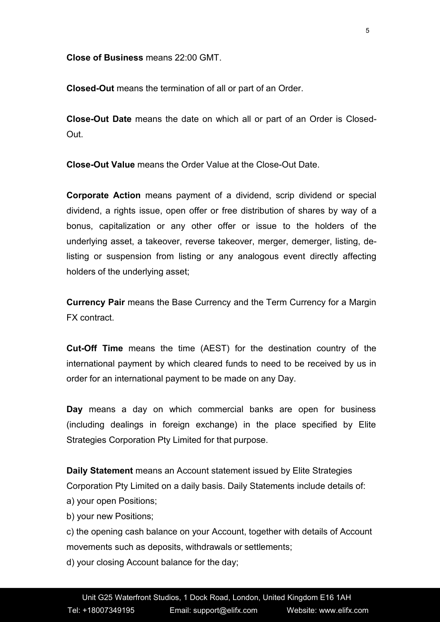**Close of Business** means 22:00 GMT.

**Closed-Out** means the termination of all or part of an Order.

**Close-Out Date** means the date on which all or part of an Order is Closed- Out.

**Close-Out Value** means the Order Value at the Close-Out Date.

**Corporate Action** means payment of a dividend, scrip dividend or special dividend, a rights issue, open offer or free distribution of shares by way of a bonus, capitalization or any other offer or issue to the holders of the underlying asset, a takeover, reverse takeover, merger, demerger, listing, delisting or suspension from listing or any analogous event directly affecting holders of the underlying asset;

**Currency Pair** means the Base Currency and the Term Currency for a Margin FX contract.

**Cut-Off Time** means the time (AEST) for the destination country of the international payment by which cleared funds to need to be received by us in order for an international payment to be made on any Day.

**Day** means a day on which commercial banks are open for business (including dealings in foreign exchange) in the place specified by Elite Strategies Corporation Pty Limited for that purpose.

**Daily Statement** means an Account statement issued by Elite Strategies Corporation Pty Limited on a daily basis. Daily Statements include details of: a) your open Positions;

b) your new Positions;

c) the opening cash balance on your Account, together with details of Account movements such as deposits, withdrawals or settlements;

d) your closing Account balance for the day;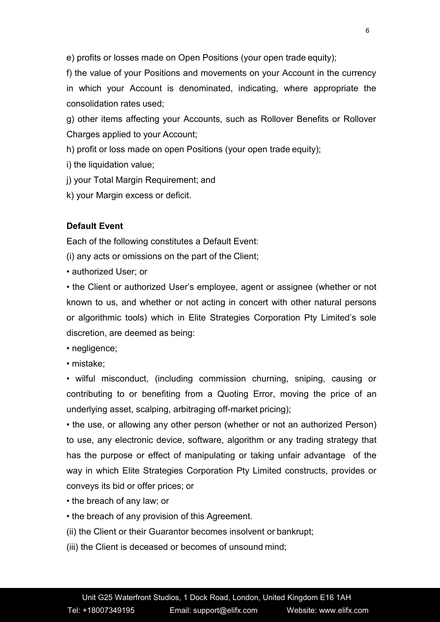e) profits or losses made on Open Positions (your open trade equity);

f) the value of your Positions and movements on your Account in the currency in which your Account is denominated, indicating, where appropriate the consolidation rates used;

g) other items affecting your Accounts, such as Rollover Benefits or Rollover Charges applied to your Account;

h) profit or loss made on open Positions (your open trade equity);

i) the liquidation value;

j) your Total Margin Requirement; and

k) your Margin excess or deficit.

# **Default Event**

Each of the following constitutes a Default Event:

(i) any acts or omissions on the part of the Client;

• authorized User; or

• the Client or authorized User's employee, agent or assignee (whether or not known to us, and whether or not acting in concert with other natural persons or algorithmic tools) which in Elite Strategies Corporation Pty Limited's sole discretion, are deemed as being:

• negligence;

• mistake;

• wilful misconduct, (including commission churning, sniping, causing or contributing to or benefiting from a Quoting Error, moving the price of an underlying asset, scalping, arbitraging off-market pricing);

• the use, or allowing any other person (whether or not an authorized Person) to use, any electronic device, software, algorithm or any trading strategy that has the purpose or effect of manipulating or taking unfair advantage of the way in which Elite Strategies Corporation Pty Limited constructs, provides or conveys its bid or offer prices; or

- the breach of any law; or
- the breach of any provision of this Agreement.
- (ii) the Client or their Guarantor becomes insolvent or bankrupt;
- (iii) the Client is deceased or becomes of unsound mind;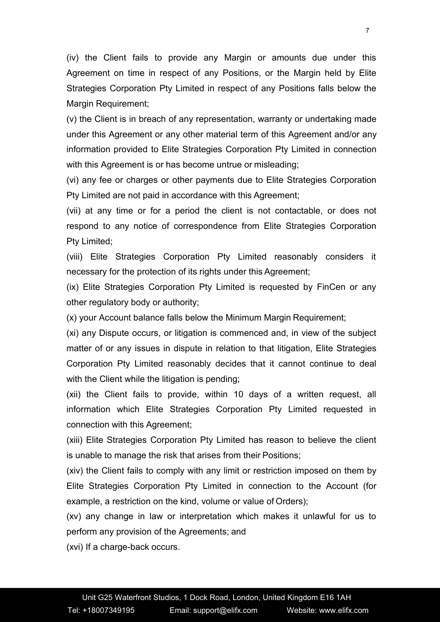(iv) the Client fails to provide any Margin or amounts due under this Agreement on time in respect of any Positions, or the Margin held by Elite Strategies Corporation Pty Limited in respect of any Positions falls below the Margin Requirement;

(v) the Client is in breach of any representation, warranty or undertaking made under this Agreement or any other material term of this Agreement and/or any information provided to Elite Strategies Corporation Pty Limited in connection with this Agreement is or has become untrue or misleading;

(vi) any fee or charges or other payments due to Elite Strategies Corporation Pty Limited are not paid in accordance with this Agreement;

(vii) at any time or for a period the client is not contactable, or does not respond to any notice of correspondence from Elite Strategies Corporation Pty Limited;

(viii) Elite Strategies Corporation Pty Limited reasonably considers it necessary for the protection of its rights under this Agreement;

(ix) Elite Strategies Corporation Pty Limited is requested by FinCen or any other regulatory body or authority;

(x) your Account balance falls below the Minimum Margin Requirement;

(xi) any Dispute occurs, or litigation is commenced and, in view of the subject matter of or any issues in dispute in relation to that litigation, Elite Strategies Corporation Pty Limited reasonably decides that it cannot continue to deal with the Client while the litigation is pending;

(xii) the Client fails to provide, within 10 days of a written request, all information which Elite Strategies Corporation Pty Limited requested in connection with this Agreement;

(xiii) Elite Strategies Corporation Pty Limited has reason to believe the client is unable to manage the risk that arises from their Positions;

(xiv) the Client fails to comply with any limit or restriction imposed on them by Elite Strategies Corporation Pty Limited in connection to the Account (for example, a restriction on the kind, volume or value of Orders);

(xv) any change in law or interpretation which makes it unlawful for us to perform any provision of the Agreements; and

(xvi) If a charge-back occurs.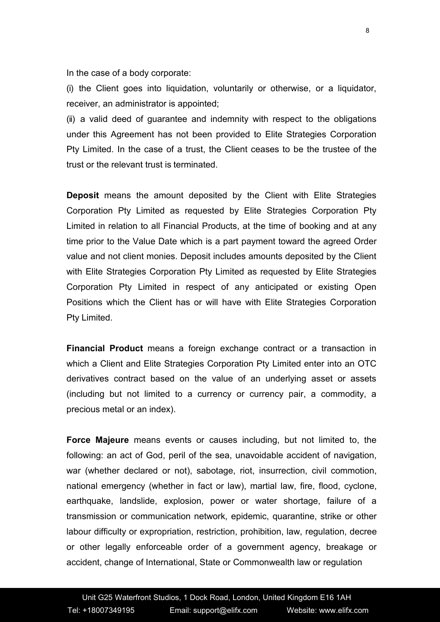In the case of a body corporate:

(i) the Client goes into liquidation, voluntarily or otherwise, or a liquidator, receiver, an administrator is appointed;

(ii) a valid deed of guarantee and indemnity with respect to the obligations under this Agreement has not been provided to Elite Strategies Corporation Pty Limited. In the case of a trust, the Client ceases to be the trustee of the trust or the relevant trust is terminated.

**Deposit** means the amount deposited by the Client with Elite Strategies Corporation Pty Limited as requested by Elite Strategies Corporation Pty Limited in relation to all Financial Products, at the time of booking and at any time prior to the Value Date which is a part payment toward the agreed Order value and not client monies. Deposit includes amounts deposited by the Client with Elite Strategies Corporation Pty Limited as requested by Elite Strategies Corporation Pty Limited in respect of any anticipated or existing Open Positions which the Client has or will have with Elite Strategies Corporation Pty Limited.

**Financial Product** means a foreign exchange contract or a transaction in which a Client and Elite Strategies Corporation Pty Limited enter into an OTC derivatives contract based on the value of an underlying asset or assets (including but not limited to a currency or currency pair, a commodity, a precious metal or an index).

**Force Majeure** means events or causes including, but not limited to, the following: an act of God, peril of the sea, unavoidable accident of navigation, war (whether declared or not), sabotage, riot, insurrection, civil commotion, national emergency (whether in fact or law), martial law, fire, flood, cyclone, earthquake, landslide, explosion, power or water shortage, failure of a transmission or communication network, epidemic, quarantine, strike or other labour difficulty or expropriation, restriction, prohibition, law, regulation, decree or other legally enforceable order of a government agency, breakage or accident, change of International, State or Commonwealth law or regulation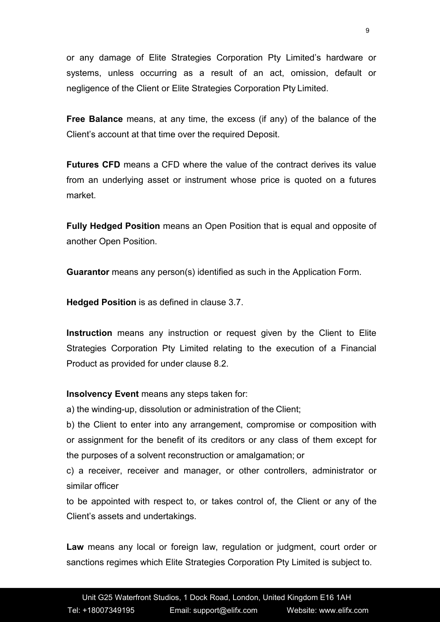or any damage of Elite Strategies Corporation Pty Limited's hardware or systems, unless occurring as a result of an act, omission, default or negligence of the Client or Elite Strategies Corporation Pty Limited.

**Free Balance** means, at any time, the excess (if any) of the balance of the Client's account at that time over the required Deposit.

**Futures CFD** means a CFD where the value of the contract derives its value from an underlying asset or instrument whose price is quoted on a futures market.

**Fully Hedged Position** means an Open Position that is equal and opposite of another Open Position.

**Guarantor** means any person(s) identified as such in the Application Form.

**Hedged Position** is as defined in clause 3.7.

**Instruction** means any instruction or request given by the Client to Elite Strategies Corporation Pty Limited relating to the execution of a Financial Product as provided for under clause 8.2.

**Insolvency Event** means any steps taken for:

a) the winding-up, dissolution or administration of the Client;

b) the Client to enter into any arrangement, compromise or composition with or assignment for the benefit of its creditors or any class of them except for the purposes of a solvent reconstruction or amalgamation; or

c) a receiver, receiver and manager, or other controllers, administrator or similar officer

to be appointed with respect to, or takes control of, the Client orany of the Client's assets and undertakings.

**Law** means any local or foreign law, regulation or judgment, court order or sanctions regimes which Elite Strategies Corporation Pty Limited is subject to.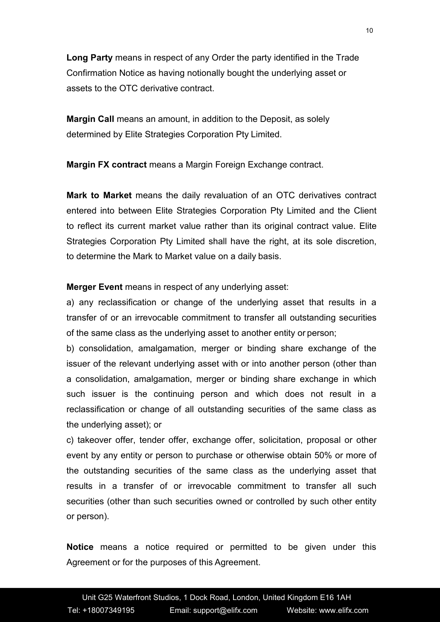**Long Party** means in respect of any Order the party identified in the Trade Confirmation Notice as having notionally bought the underlying asset or assets to the OTC derivative contract.

**Margin Call** means an amount, in addition to the Deposit, as solely determined by Elite Strategies Corporation Pty Limited.

**Margin FX contract** means a Margin Foreign Exchange contract.

**Mark to Market** means the daily revaluation of an OTC derivatives contract entered into between Elite Strategies Corporation Pty Limited and the Client to reflect its current market value rather than its original contract value. Elite Strategies Corporation Pty Limited shall have the right, at its sole discretion, to determine the Mark to Market value on a daily basis.

**Merger Event** means in respect of any underlying asset:

a) any reclassification or change of the underlying asset that results in a transfer of or an irrevocable commitment to transfer all outstanding securities of the same class as the underlying asset to another entity or person;

b) consolidation, amalgamation, merger or binding share exchange of the issuer of the relevant underlying asset with or into another person (other than a consolidation, amalgamation, merger or binding share exchange in which such issuer is the continuing person and which does not result in a reclassification or change of all outstanding securities of the same class as the underlying asset); or

c) takeover offer, tender offer, exchange offer, solicitation, proposal or other event by any entity or person to purchase or otherwise obtain 50% or more of the outstanding securities of the same class as the underlying asset that results in a transfer of or irrevocable commitment to transfer all such securities (other than such securities owned or controlled by such other entity or person).

**Notice** means a notice required or permitted to be given under this Agreement or for the purposes of this Agreement.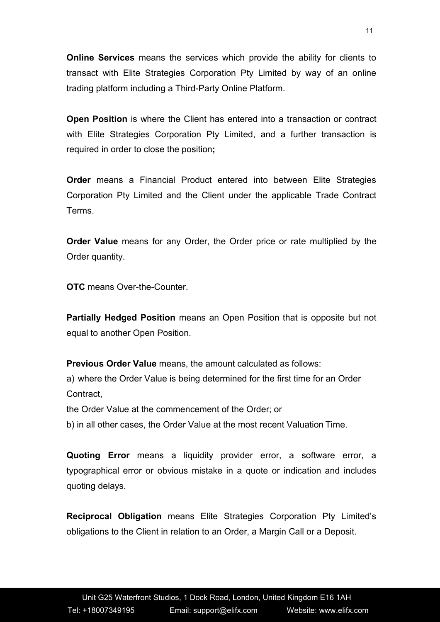**Online Services** means the services which provide the ability for clients to transact with Elite Strategies Corporation Pty Limited by way of an online trading platform including a Third-Party Online Platform.

**Open Position** is where the Client has entered into a transaction or contract with Elite Strategies Corporation Pty Limited, and a further transaction is required in order to close the position**;**

**Order** means a Financial Product entered into between Elite Strategies Corporation Pty Limited and the Client under the applicable Trade Contract Terms.

**Order Value** means for any Order, the Order price or rate multiplied by the Order quantity.

**OTC** means Over-the-Counter.

**Partially Hedged Position** means an Open Position that is opposite but not equal to another Open Position.

**Previous Order Value** means, the amount calculated as follows: a) where the Order Value is being determined for the first time for an Order **Contract** 

the Order Value at the commencement of the Order; or

b) in all other cases, the Order Value at the most recent Valuation Time.

**Quoting Error** means a liquidity provider error, a software error, a typographical error or obvious mistake in a quote or indication and includes quoting delays.

**Reciprocal Obligation** means Elite Strategies Corporation Pty Limited's obligations to the Client in relation to an Order, a Margin Call or a Deposit.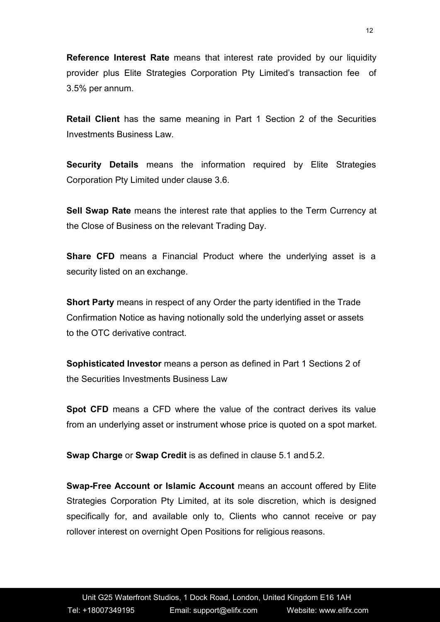**Reference Interest Rate** means that interest rate provided by our liquidity provider plus Elite Strategies Corporation Pty Limited's transaction fee of 3.5% per annum.

**Retail Client** has the same meaning in Part 1 Section 2 of the Securities Investments Business Law.

**Security Details** means the information required by Elite Strategies Corporation Pty Limited under clause 3.6.

**Sell Swap Rate** means the interest rate that applies to the Term Currency at the Close of Business on the relevant Trading Day.

**Share CFD** means a Financial Product where the underlying asset is a security listed on an exchange.

**Short Party** means in respect of any Order the party identified in the Trade Confirmation Notice as having notionally sold the underlying asset or assets to the OTC derivative contract.

**Sophisticated Investor** means a person as defined in Part 1 Sections 2 of the Securities Investments Business Law

**Spot CFD** means a CFD where the value of the contract derives its value from an underlying asset or instrument whose price is quoted on a spot market.

**Swap Charge** or **Swap Credit** is as defined in clause 5.1 and 5.2.

**Swap-Free Account or Islamic Account** means an account offered by Elite Strategies Corporation Pty Limited, at its sole discretion, which is designed specifically for, and available only to, Clients who cannot receive or pay rollover interest on overnight Open Positions for religious reasons.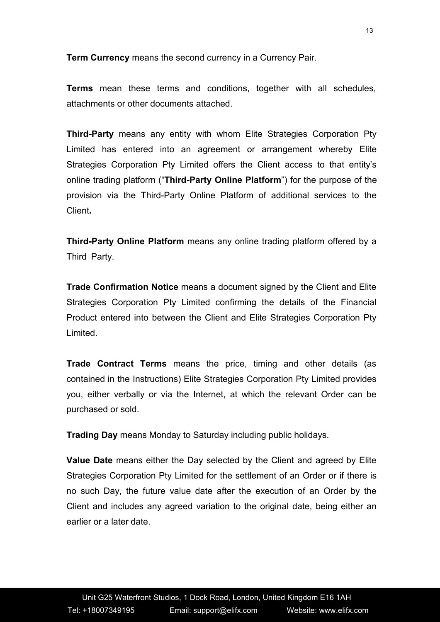**Term Currency** means the second currency in a Currency Pair.

**Terms** mean these terms and conditions, together with all schedules, attachments or other documents attached.

**Third-Party** means any entity with whom Elite Strategies Corporation Pty Limited has entered into an agreement or arrangement whereby Elite Strategies Corporation Pty Limited offers the Client access to that entity's online trading platform ("**Third-Party Online Platform**") for the purpose of the provision via the Third-Party Online Platform of additional services to the Client**.**

**Third-Party Online Platform** means any online trading platform offered by a Third Party.

**Trade Confirmation Notice** means a document signed by the Client and Elite Strategies Corporation Pty Limited confirming the details of the Financial Product entered into between the Client and Elite Strategies Corporation Pty Limited.

**Trade Contract Terms** means the price, timing and other details (as contained in the Instructions) Elite Strategies Corporation Pty Limited provides you, either verbally or via the Internet, at which the relevant Order can be purchased or sold.

**Trading Day** means Monday to Saturday including public holidays.

**Value Date** means either the Day selected by the Client and agreed by Elite Strategies Corporation Pty Limited for the settlement of an Order or if there is no such Day, the future value date after the execution of an Order by the Client and includes any agreed variation to the original date, being either an earlier or a later date.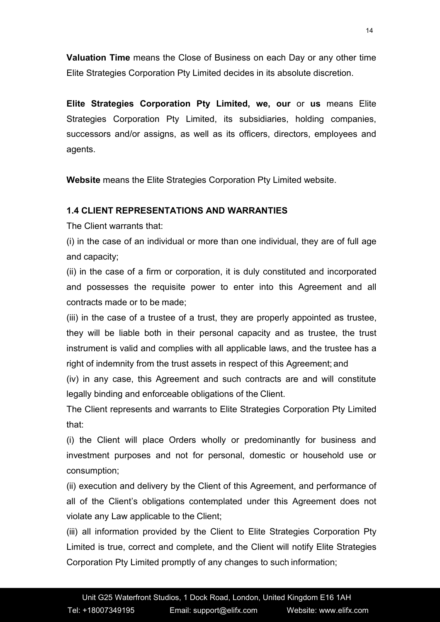**Valuation Time** means the Close of Business on each Day or any other time Elite Strategies Corporation Pty Limited decides in its absolute discretion.

**Elite Strategies Corporation Pty Limited, we, our** or **us** means Elite Strategies Corporation Pty Limited, its subsidiaries, holding companies, successors and/or assigns, as well as its officers, directors, employees and agents.

**Website** means the Elite Strategies Corporation Pty Limited website.

# **1.4 CLIENT REPRESENTATIONS AND WARRANTIES**

The Client warrants that:

(i) in the case of an individual or more than one individual, they are of full age and capacity;

(ii) in the case of a firm or corporation, it is duly constituted and incorporated and possesses the requisite power to enter into this Agreement and all contracts made or to be made;

(iii) in the case of a trustee of a trust, they are properly appointed as trustee, they will be liable both in their personal capacity and as trustee, the trust instrument is valid and complies with all applicable laws, and the trustee has a right of indemnity from the trust assets in respect of this Agreement; and

(iv) in any case, this Agreement and such contracts are and will constitute legally binding and enforceable obligations of the Client.

The Client represents and warrants to Elite Strategies Corporation Pty Limited that:

(i) the Client will place Orders wholly or predominantly for business and investment purposes and not for personal, domestic or household use or consumption;

(ii) execution and delivery by the Client of this Agreement, and performance of all of the Client's obligations contemplated under this Agreement does not violate any Law applicable to the Client;

(iii) all information provided by the Client to Elite Strategies Corporation Pty Limited is true, correct and complete, and the Client will notify Elite Strategies Corporation Pty Limited promptly of any changes to such information;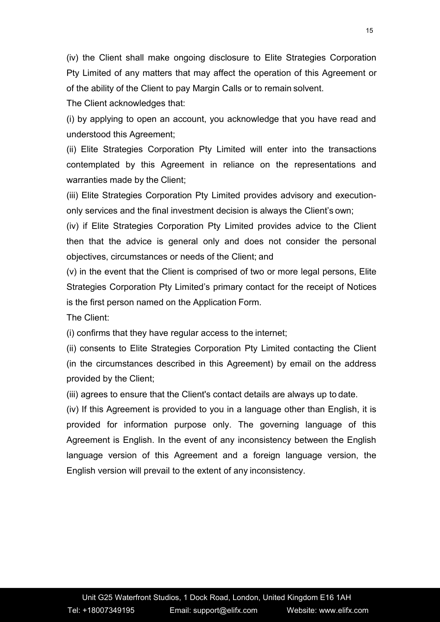(iv) the Client shall make ongoing disclosure to Elite Strategies Corporation Pty Limited of any matters that may affect the operation of this Agreement or of the ability of the Client to pay Margin Calls or to remain solvent.

The Client acknowledges that:

(i) by applying to open an account, you acknowledge that you have read and understood this Agreement;

(ii) Elite Strategies Corporation Pty Limited will enter into the transactions contemplated by this Agreement in reliance on the representations and warranties made by the Client;

(iii) Elite Strategies Corporation Pty Limited provides advisory and execution only services and the final investment decision is always the Client's own;

(iv) if Elite Strategies Corporation Pty Limited provides advice to the Client then that the advice is general only and does not consider the personal objectives, circumstances or needs of the Client; and

(v) in the event that the Client is comprised of two ormore legal persons, Elite Strategies Corporation Pty Limited's primary contact for the receipt of Notices is the first person named on the Application Form.

The Client:

(i) confirms that they have regular access to the internet;

(ii) consents to Elite Strategies Corporation Pty Limited contacting the Client (in the circumstances described in this Agreement) by email on the address provided by the Client;

(iii) agrees to ensure that the Client's contact details are always up to date.

(iv) If this Agreement is provided to you in a language other than English, it is provided for information purpose only. The governing language of this Agreement is English. In the event of any inconsistency between the English language version of this Agreement and a foreign language version, the English version will prevail to the extent of any inconsistency.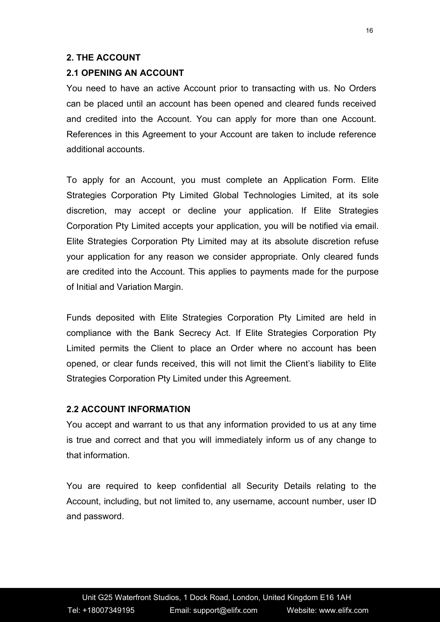#### **2. THE ACCOUNT**

#### **2.1 OPENING AN ACCOUNT**

You need to have an active Account prior to transacting with us. No Orders can be placed until an account has been opened and cleared funds received and credited into the Account. You can apply for more than one Account. References in this Agreement to your Account are taken to include reference additional accounts.

To apply for an Account, you must complete an Application Form. Elite Strategies Corporation Pty Limited Global Technologies Limited, at its sole discretion, may accept or decline your application. If Elite Strategies Corporation Pty Limited accepts your application, you will be notified via email. Elite Strategies Corporation Pty Limited may at its absolute discretion refuse your application for any reason we consider appropriate. Only cleared funds are credited into the Account. This applies to payments made for the purpose of Initial and Variation Margin.

Funds deposited with Elite Strategies Corporation Pty Limited are held in compliance with the Bank Secrecy Act. If Elite Strategies Corporation Pty Limited permits the Client to place an Order where no account has been opened, or clear funds received, this will not limit the Client's liability to Elite Strategies Corporation Pty Limited under this Agreement.

#### **2.2 ACCOUNT INFORMATION**

You accept and warrant to us that any information provided to us at any time is true and correct and that you will immediately inform us of any change to that information.

You are required to keep confidential all Security Details relating to the Account, including, but not limited to, any username, account number, user ID and password.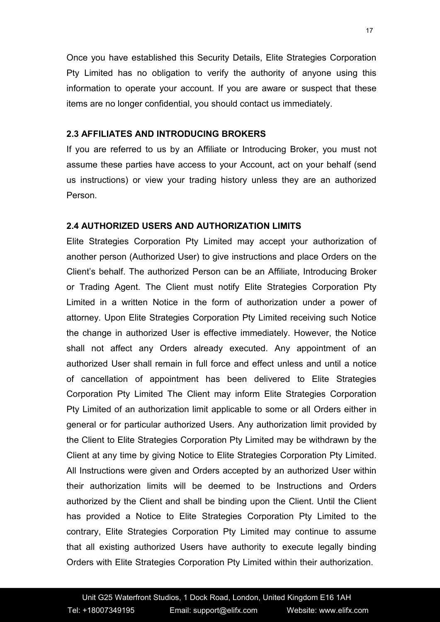Once you have established this Security Details, Elite Strategies Corporation Pty Limited has no obligation to verify the authority of anyone using this information to operate your account. If you are aware or suspect that these items are no longer confidential, you should contact us immediately.

## **2.3 AFFILIATES AND INTRODUCING BROKERS**

If you are referred to us by an Affiliate or Introducing Broker, you must not assume these parties have access to your Account, act on your behalf (send us instructions) or view your trading history unless they are an authorized Person.

# **2.4 AUTHORIZED USERS AND AUTHORIZATION LIMITS**

Elite Strategies Corporation Pty Limited may accept your authorization of another person (Authorized User) to give instructions and place Orders on the Client's behalf. The authorized Person can be an Affiliate, Introducing Broker or Trading Agent. The Client must notify Elite Strategies Corporation Pty Limited in a written Notice in the form of authorization under a power of attorney. Upon Elite Strategies Corporation Pty Limited receiving such Notice the change in authorized User is effective immediately. However, the Notice shall not affect any Orders already executed. Any appointment of an authorized User shall remain in full force and effect unless and until a notice of cancellation of appointment has been delivered to Elite Strategies Corporation Pty Limited The Client may inform Elite Strategies Corporation Pty Limited of an authorization limit applicable to some or all Orders either in general or for particular authorized Users. Any authorization limit provided by the Client to Elite Strategies Corporation Pty Limited may be withdrawn by the Client at any time by giving Notice to Elite Strategies Corporation Pty Limited. All Instructions were given and Orders accepted by an authorized User within their authorization limits will be deemed to be Instructions and Orders authorized by the Client and shall be binding upon the Client. Until the Client has provided a Notice to Elite Strategies Corporation Pty Limited to the contrary, Elite Strategies Corporation Pty Limited may continue to assume that all existing authorized Users have authority to execute legally binding Orders with Elite Strategies Corporation Pty Limited within their authorization.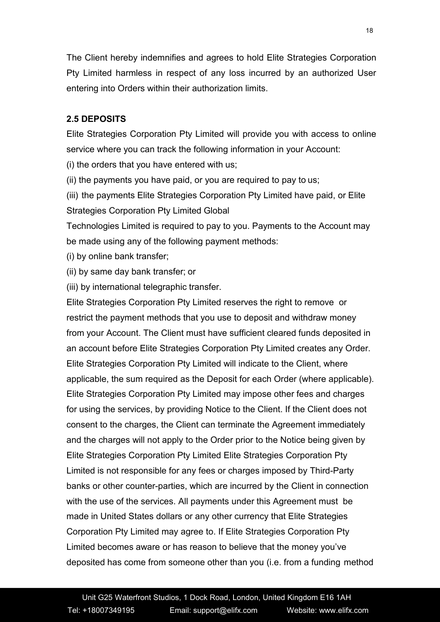The Client hereby indemnifies and agrees to hold Elite Strategies Corporation Pty Limited harmless in respect of any loss incurred by an authorized User entering into Orders within their authorization limits.

# **2.5 DEPOSITS**

Elite Strategies Corporation Pty Limited will provide you with access to online service where you can track the following information in your Account:

(i) the orders that you have entered with us;

(ii) the payments you have paid, or you are required to pay to us;

(iii) the payments Elite Strategies Corporation Pty Limited have paid, or Elite Strategies Corporation Pty Limited Global

Technologies Limited is required to pay to you. Payments to the Account may be made using any of the following payment methods:

(i) by online bank transfer;

(ii) by same day bank transfer; or

(iii) by international telegraphic transfer.

Elite Strategies Corporation Pty Limited reserves the right to remove or restrict the payment methods that you use to deposit and withdraw money from your Account. The Client must have sufficient cleared funds deposited in an account before Elite Strategies Corporation Pty Limited creates any Order. Elite Strategies Corporation Pty Limited will indicate to the Client, where applicable, the sum required as the Deposit for each Order (where applicable). Elite Strategies Corporation Pty Limited may impose other fees and charges for using the services, by providing Notice to the Client. If the Client does not consent to the charges, the Client can terminate the Agreement immediately and the charges will not apply to the Order prior to the Notice being given by Elite Strategies Corporation Pty Limited Elite Strategies Corporation Pty Limited is not responsible for any fees or charges imposed by Third-Party banks or other counter-parties, which are incurred by the Client in connection with the use of the services. All payments under this Agreement must be made in United States dollars or any other currency that Elite Strategies Corporation Pty Limited may agree to. If Elite Strategies Corporation Pty Limited becomes aware or has reason to believe that the money you've deposited has come from someone other than you (i.e. from a funding method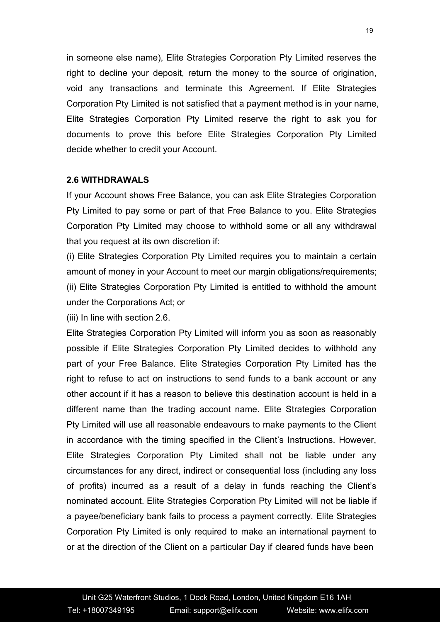in someone else name), Elite Strategies Corporation Pty Limited reserves the right to decline your deposit, return the money to the source of origination, void any transactions and terminate this Agreement. If Elite Strategies Corporation Pty Limited is not satisfied that a payment method is in your name,<br>Elite Strategies Corporation Pty Limited reserve the right to ask you for documents to prove this before Elite Strategies Corporation Pty Limited decide whether to credit your Account.

### **2.6 WITHDRAWALS**

If your Account shows Free Balance, you can ask Elite Strategies Corporation Pty Limited to pay some or part of that Free Balance to you. Elite Strategies Corporation Pty Limited may choose to withhold some or all any withdrawal that you request at its own discretion if:

(i) Elite Strategies Corporation Pty Limited requires you to maintain a certain amount of money in your Account to meet our margin obligations/requirements; (ii) Elite Strategies Corporation Pty Limited is entitled to withhold the amount under the Corporations Act; or

(iii) In line with section 2.6.

Elite Strategies Corporation Pty Limited will inform you as soon as reasonably possible if Elite Strategies Corporation Pty Limited decides to withhold any part of your Free Balance. Elite Strategies Corporation Pty Limited has the right to refuse to act on instructions to send funds to a bank account or any other account if it has a reason to believe this destination account is held in a different name than the trading account name. Elite Strategies Corporation Pty Limited will use all reasonable endeavours to make payments to the Client in accordance with the timing specified in the Client's Instructions. However, Elite Strategies Corporation Pty Limited shall not be liable under any circumstances for any direct, indirect or consequential loss (including any loss of profits) incurred as a result of a delay in funds reaching the Client's nominated account. Elite Strategies Corporation Pty Limited will not be liable if a payee/beneficiary bank fails to process a payment correctly. Elite Strategies Corporation Pty Limited is only required to make an international payment to or at the direction of the Client on a particular Day if cleared funds have been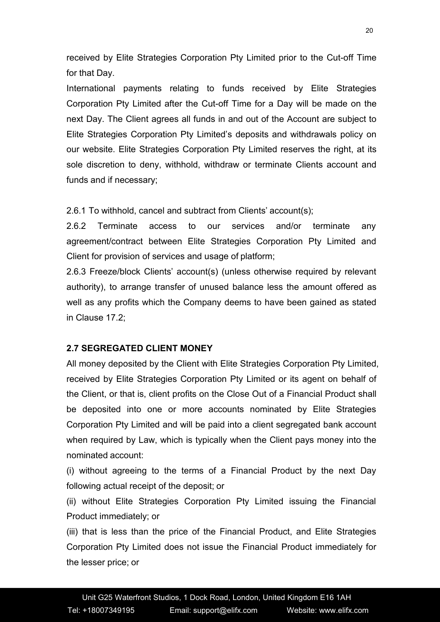received by Elite Strategies Corporation Pty Limited prior to the Cut-off Time for that Day.

International payments relating to funds received by Elite Strategies Corporation Pty Limited after the Cut-off Time for a Day will be made on the next Day. The Client agrees all funds in and out of the Account are subject to Elite Strategies Corporation Pty Limited's deposits and withdrawals policy on our website. Elite Strategies Corporation Pty Limited reserves the right, at its sole discretion to deny, withhold, withdraw or terminate Clients account and funds and if necessary;

2.6.1 To withhold, cancel and subtract from Clients' account(s);

2.6.2 Terminate access to our services and/or terminate any agreement/contract between Elite Strategies Corporation Pty Limited and Client for provision of services and usage of platform;

2.6.3 Freeze/block Clients' account(s) (unless otherwise required by relevant authority), to arrange transfer of unused balance less the amount offered as well as any profits which the Company deems to have been gained as stated in Clause 17.2;

# **2.7 SEGREGATED CLIENT MONEY**

All money deposited by the Client with Elite Strategies Corporation Pty Limited, received by Elite Strategies Corporation Pty Limited or its agent on behalf of the Client, or that is, client profits on the Close Out of a Financial Product shall be deposited into one or more accounts nominated by Elite Strategies Corporation Pty Limited and will be paid into a client segregated bank account when required by Law, which is typically when the Client pays money into the nominated account:

(i) without agreeing to the terms of a Financial Product by the next Day following actual receipt of the deposit; or

(ii) without Elite Strategies Corporation Pty Limited issuing the Financial Product immediately; or

(iii) that is less than the price of the Financial Product, and Elite Strategies Corporation Pty Limited does not issue the Financial Product immediately for the lesser price; or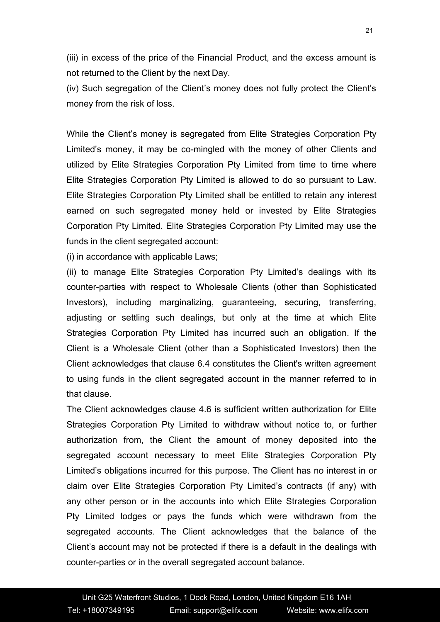(iii) in excess of the price of the Financial Product, and the excess amount is not returned to the Client by the next Day.

(iv) Such segregation of the Client's money does not fully protect the Client's money from the risk of loss.<br>While the Client's money is segregated from Elite Strategies Corporation Pty

Limited's money, it may be co-mingled with the money of other Clients and utilized by Elite Strategies Corporation Pty Limited from time to time where Elite Strategies Corporation Pty Limited is allowed to do so pursuant to Law. Elite Strategies Corporation Pty Limited shall be entitled to retain any interest earned on such segregated money held or invested by Elite Strategies Corporation Pty Limited. Elite Strategies Corporation Pty Limited may use the funds in the client segregated account:

(i) in accordance with applicable Laws;

(ii) to manage Elite Strategies Corporation Pty Limited's dealings with its counter-parties with respect to Wholesale Clients (other than Sophisticated Investors), including marginalizing, guaranteeing, securing, transferring, adjusting or settling such dealings, but only at the time at which Elite Strategies Corporation Pty Limited has incurred such an obligation. If the Client is a Wholesale Client (other than a Sophisticated Investors) then the Client acknowledges that clause 6.4 constitutes the Client's written agreement to using funds in the client segregated account in the manner referred to in that clause.

The Client acknowledges clause 4.6 is sufficient written authorization for Elite Strategies Corporation Pty Limited to withdraw without notice to, or further authorization from, the Client the amount of money deposited into the segregated account necessary to meet Elite Strategies Corporation Pty Limited's obligations incurred for this purpose. The Client has no interest in or claim over Elite Strategies Corporation Pty Limited's contracts (if any) with any other person or in the accounts into which Elite Strategies Corporation Pty Limited lodges or pays the funds which were withdrawn from the segregated accounts. The Client acknowledges that the balance of the Client's account may not be protected if there is a default in the dealings with counter-parties or in the overall segregated account balance.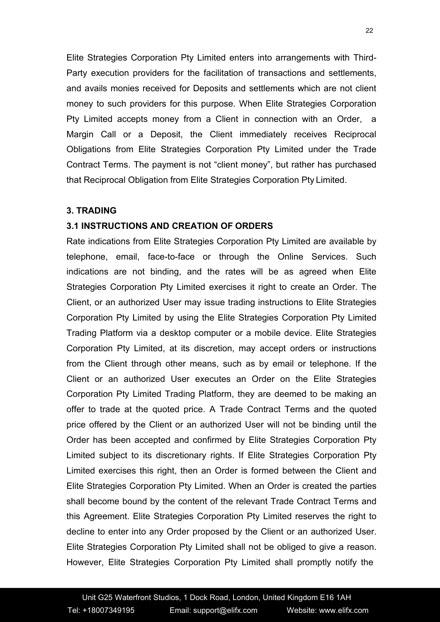Elite Strategies Corporation Pty Limited enters into arrangements with Third- Party execution providers for the facilitation of transactions and settlements, and avails monies received for Deposits and settlements which are not client money to such providers for this purpose. When Elite Strategies Corporation Pty Limited accepts money from a Client in connection with an Order, a Margin Call or a Deposit, the Client immediately receives Reciprocal Obligations from Elite Strategies Corporation Pty Limited under the Trade Contract Terms. The payment is not "client money", but rather has purchased that Reciprocal Obligation from Elite Strategies Corporation Pty Limited.

#### **3. TRADING**

# **3.1 INSTRUCTIONS AND CREATION OF ORDERS**

Rate indications from Elite Strategies Corporation Pty Limited are available by telephone, email, face-to-face or through the Online Services. Such indications are not binding, and the rates will be as agreed when Elite Strategies Corporation Pty Limited exercises it right to create an Order. The Client, or an authorized User may issue trading instructions to Elite Strategies Corporation Pty Limited by using the Elite Strategies Corporation Pty Limited Trading Platform via a desktop computer or a mobile device. Elite Strategies Corporation Pty Limited, at its discretion, may accept orders or instructions from the Client through other means, such as by email or telephone. If the Client or an authorized User executes an Order on the Elite Strategies Corporation Pty Limited Trading Platform, they are deemed to be making an offer to trade at the quoted price. A Trade Contract Terms and the quoted price offered by the Client or an authorized User will not be binding until the Order has been accepted and confirmed by Elite Strategies Corporation Pty Limited subject to its discretionary rights. If Elite Strategies Corporation Pty Limited exercises this right, then an Order is formed between the Client and Elite Strategies Corporation Pty Limited. When an Order is created the parties shall become bound by the content of the relevant Trade Contract Terms and this Agreement. Elite Strategies Corporation Pty Limited reserves the right to decline to enter into any Order proposed by the Client or an authorized User. Elite Strategies Corporation Pty Limited shall not be obliged to give a reason. However, Elite Strategies Corporation Pty Limited shall promptly notify the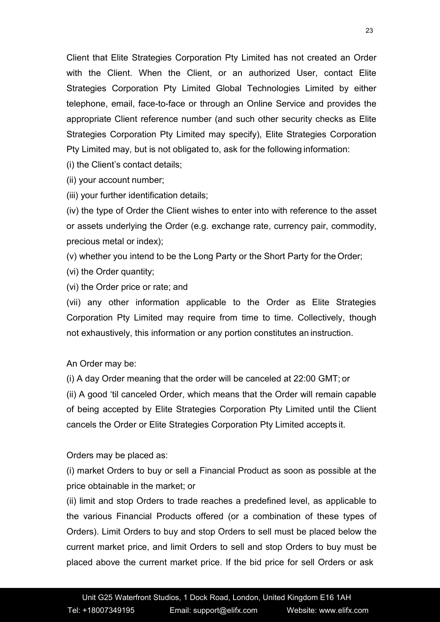Client that Elite Strategies Corporation Pty Limited has not created an Order with the Client. When the Client, or an authorized User, contact Elite Strategies Corporation Pty Limited Global Technologies Limited by either telephone, email, face-to-face or through an Online Service and provides the appropriate Client reference number (and such other security checks as Elite Strategies Corporation Pty Limited may specify), Elite Strategies Corporation Pty Limited may, but is not obligated to, ask for the following information:

(i) the Client's contact details;

(ii) your account number;

(iii) your further identification details;

(iv) the type of Order the Client wishes to enter into with reference to the asset or assets underlying the Order (e.g. exchange rate, currency pair, commodity, precious metal or index);

(v) whether you intend to be the Long Party or the Short Party for the Order;

(vi) the Order quantity;

(vi) the Order price or rate; and

(vii) any other information applicable to the Order as Elite Strategies Corporation Pty Limited may require from time to time. Collectively, though not exhaustively, this information or any portion constitutes an instruction.

An Order may be:

(i) A day Order meaning that the order will be canceled at 22:00 GMT; or

(ii) A good 'til canceled Order, which means that the Order will remain capable of being accepted by Elite Strategies Corporation Pty Limited until the Client cancels the Order or Elite Strategies Corporation Pty Limited accepts it.

Orders may be placed as:

(i) market Orders to buy or sell a Financial Product as soon as possible at the price obtainable in the market; or

(ii) limit and stop Orders to trade reaches a predefined level, as applicable to the various Financial Products offered (or a combination of these types of Orders). Limit Orders to buy and stop Orders to sell must be placed below the current market price, and limit Orders to sell and stop Orders to buy must be placed above the current market price. If the bid price for sell Orders or ask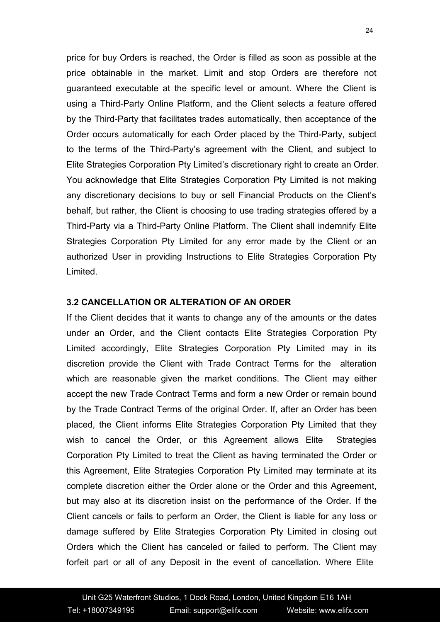price for buy Orders is reached, the Order is filled as soon as possible at the price obtainable in the market. Limit and stop Orders are therefore not guaranteed executable at the specific level or amount. Where the Client is using a Third-Party Online Platform, and the Client selects a feature offered by the Third-Party that facilitates trades automatically, then acceptance of the Order occurs automatically for each Order placed by the Third-Party, subject to the terms of the Third-Party's agreement with the Client, and subject to Elite Strategies Corporation Pty Limited's discretionary right to create an Order. You acknowledge that Elite Strategies Corporation Pty Limited is not making any discretionary decisions to buy or sell Financial Products on the Client's behalf, but rather, the Client is choosing to use trading strategies offered by a Third-Party via a Third-Party Online Platform. The Client shall indemnify Elite Strategies Corporation Pty Limited for any error made by the Client or an authorized User in providing Instructions to Elite Strategies Corporation Pty Limited.

#### **3.2 CANCELLATION OR ALTERATION OF AN ORDER**

If the Client decides that it wants to change any of the amounts or the dates under an Order, and the Client contacts Elite Strategies Corporation Pty Limited accordingly, Elite Strategies Corporation Pty Limited may in its discretion provide the Client with Trade Contract Terms for the alteration which are reasonable given the market conditions. The Client may either accept the new Trade Contract Terms and form a new Order or remain bound by the Trade Contract Terms of the original Order. If, after an Order has been placed, the Client informs Elite Strategies Corporation Pty Limited that they wish to cancel the Order, or this Agreement allows Elite Strategies Corporation Pty Limited to treat the Client as having terminated the Order or this Agreement, Elite Strategies Corporation Pty Limited may terminate at its complete discretion either the Order alone or the Order and this Agreement, but may also at its discretion insist on the performance of the Order. If the Client cancels or fails to perform an Order, the Client is liable for any loss or damage suffered by Elite Strategies Corporation Pty Limited in closing out Orders which the Client has canceled or failed to perform. The Client may forfeit part or all of any Deposit in the event of cancellation. Where Elite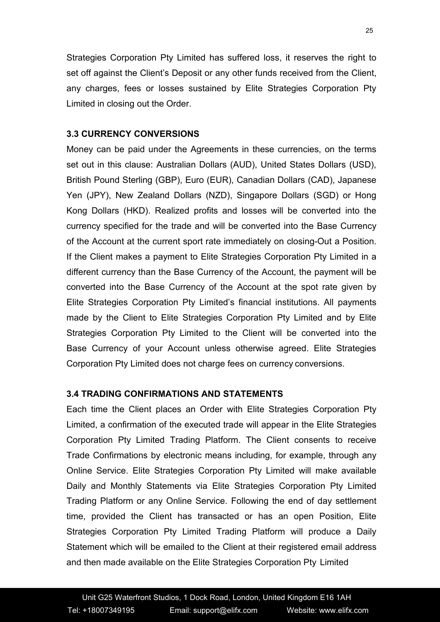Strategies Corporation Pty Limited has suffered loss, it reserves the right to set off against the Client's Deposit or any other funds received from the Client, any charges, fees or losses sustained by Elite Strategies Corporation Pty Limited in closing out the Order.

# **3.3 CURRENCY CONVERSIONS**

Money can be paid under the Agreements in these currencies, on the terms set out in this clause: Australian Dollars (AUD), United States Dollars (USD), British Pound Sterling (GBP), Euro (EUR), Canadian Dollars (CAD), Japanese Yen (JPY), New Zealand Dollars (NZD), Singapore Dollars (SGD) or Hong Kong Dollars (HKD). Realized profits and losses will be converted into the currency specified for the trade and will be converted into the Base Currency of the Account at the current sport rate immediately on closing-Out a Position. If the Client makes a payment to Elite Strategies Corporation Pty Limited in a different currency than the Base Currency of the Account, the payment will be converted into the Base Currency of the Account at the spot rate given by Elite Strategies Corporation Pty Limited's financial institutions. All payments made by the Client to Elite Strategies Corporation Pty Limited and by Elite Strategies Corporation Pty Limited to the Client will be converted into the Base Currency of your Account unless otherwise agreed. Elite Strategies Corporation Pty Limited does not charge fees on currency conversions.

### **3.4 TRADING CONFIRMATIONS AND STATEMENTS**

Each time the Client places an Order with Elite Strategies Corporation Pty Limited, a confirmation of the executed trade will appear in the Elite Strategies Corporation Pty Limited Trading Platform. The Client consents to receive Trade Confirmations by electronic means including, for example, through any Online Service. Elite Strategies Corporation Pty Limited will make available Daily and Monthly Statements via Elite Strategies Corporation Pty Limited Trading Platform or any Online Service. Following the end of day settlement time, provided the Client has transacted or has an open Position, Elite Strategies Corporation Pty Limited Trading Platform will produce a Daily Statement which will be emailed to the Client at their registered email address and then made available on the Elite Strategies Corporation Pty Limited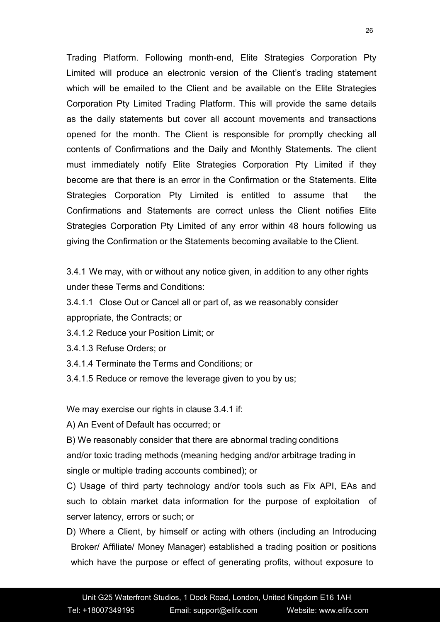Trading Platform. Following month-end, Elite Strategies Corporation Pty Limited will produce an electronic version of the Client's trading statement which will be emailed to the Client and be available on the Elite Strategies Corporation Pty Limited Trading Platform. This will provide the same details as the daily statements but cover all account movements and transactions opened for the month. The Client is responsible for promptly checking all contents of Confirmations and the Daily and Monthly Statements. The client must immediately notify Elite Strategies Corporation Pty Limited if they become are that there is an error in the Confirmation or the Statements. Elite Strategies Corporation Pty Limited is entitled to assume that the Confirmations and Statements are correct unless the Client notifies Elite Strategies Corporation Pty Limited of any error within 48 hours following us giving the Confirmation or the Statements becoming available to the Client.

3.4.1 We may, with or without any notice given, in addition to any other rights under these Terms and Conditions:

3.4.1.1 Close Out or Cancel all or part of, as we reasonably consider appropriate, the Contracts; or

3.4.1.2 Reduce your Position Limit; or

3.4.1.3 Refuse Orders; or

3.4.1.4 Terminate the Terms and Conditions;or

3.4.1.5 Reduce or remove the leverage given to you by us;

We may exercise our rights in clause 3.4.1 if:

A) An Event of Default has occurred; or

B) We reasonably consider that there are abnormal trading conditions and/or toxic trading methods (meaning hedging and/or arbitrage trading in single or multiple trading accounts combined); or

C) Usage of third party technology and/or tools such as Fix API, EAs and such to obtain market data information for the purpose of exploitation of server latency, errors or such; or

D) Where a Client, by himself or acting with others (including an Introducing Broker/ Affiliate/ Money Manager) established a trading position or positions which have the purpose or effect of generating profits, without exposure to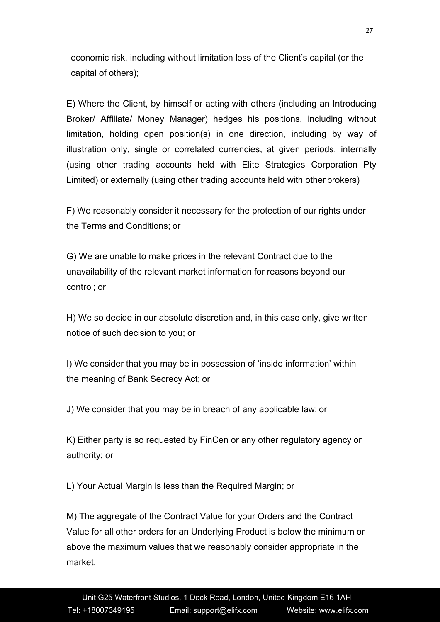economic risk, including without limitation loss of the Client's capital (or the capital of others);

E) Where the Client, by himself or acting with others (including an Introducing Broker/ Affiliate/ Money Manager) hedges his positions, including without limitation, holding open position(s) in one direction, including by way of illustration only, single or correlated currencies, at given periods, internally (using other trading accounts held with Elite Strategies Corporation Pty Limited) or externally (using other trading accounts held with other brokers)

F) We reasonably consider it necessary for the protection of our rights under the Terms and Conditions;or

G) We are unable to make prices in the relevant Contract due to the unavailability of the relevant market information for reasons beyond our control; or

H) We so decide in our absolute discretion and, in this case only, give written notice of such decision to you; or

I) We consider that you may be in possession of 'inside information' within the meaning of Bank Secrecy Act; or

J) We consider that you may be in breach of any applicable law; or

K) Either party is so requested by FinCen or any other regulatory agency or authority; or

L) Your Actual Margin is less than the Required Margin; or

M) The aggregate of the Contract Value for your Orders and the Contract Value for all other orders for an Underlying Product is below the minimum or above the maximum values that we reasonably consider appropriate in the market.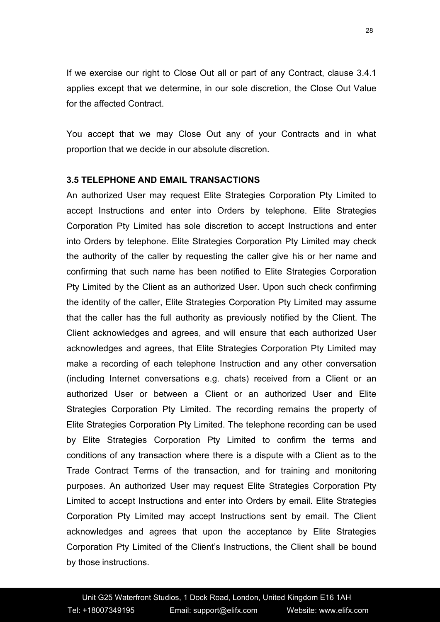If we exercise our right to Close Out all or part of any Contract, clause 3.4.1 applies except that we determine, in our sole discretion, the Close Out Value for the affected Contract.

You accept that we may Close Out any of your Contracts and in what proportion that we decide in our absolute discretion.

#### **3.5 TELEPHONE AND EMAIL TRANSACTIONS**

An authorized User may request Elite Strategies Corporation Pty Limited to accept Instructions and enter into Orders by telephone. Elite Strategies Corporation Pty Limited has sole discretion to accept Instructions and enter into Orders by telephone. Elite Strategies Corporation Pty Limited may check the authority of the caller by requesting the caller give his or her name and confirming that such name has been notified to Elite Strategies Corporation Pty Limited by the Client as an authorized User. Upon such check confirming the identity of the caller, Elite Strategies Corporation Pty Limited may assume that the caller has the full authority as previously notified by the Client. The Client acknowledges and agrees, and will ensure that each authorized User acknowledges and agrees, that Elite Strategies Corporation Pty Limited may make a recording of each telephone Instruction and any other conversation (including Internet conversations e.g. chats) received from a Client or an authorized User or between a Client or an authorized User and Elite Strategies Corporation Pty Limited. The recording remains the property of Elite Strategies Corporation Pty Limited. The telephone recording can be used by Elite Strategies Corporation Pty Limited to confirm the terms and conditions of any transaction where there is a dispute with a Client as to the Trade Contract Terms of the transaction, and for training and monitoring purposes. An authorized User may request Elite Strategies Corporation Pty Limited to accept Instructions and enter into Orders by email. Elite Strategies Corporation Pty Limited may accept Instructions sent by email. The Client acknowledges and agrees that upon the acceptance by Elite Strategies Corporation Pty Limited of the Client's Instructions, the Client shall be bound by those instructions.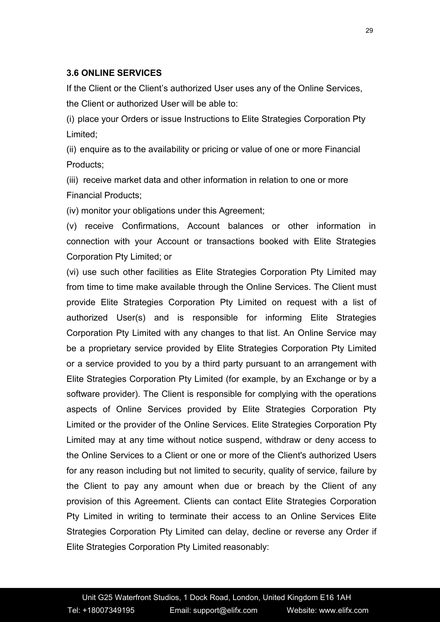# **3.6 ONLINE SERVICES**

If the Client or the Client's authorized User uses any of the Online Services, the Client or authorized User will be able to:

(i) place your Orders or issue Instructions to Elite Strategies Corporation Pty Limited;

(ii) enquire as to the availability or pricing or value of one ormore Financial Products;

(iii) receive market data and other information in relation to one ormore Financial Products;

(iv) monitor your obligations under this Agreement;

(v) receive Confirmations, Account balances or other information in connection with your Account or transactions booked with Elite Strategies Corporation Pty Limited; or

(vi) use such other facilities as Elite Strategies Corporation Pty Limited may from time to time make available through the Online Services. The Client must provide Elite Strategies Corporation Pty Limited on request with a list of authorized User(s) and is responsible for informing Elite Strategies Corporation Pty Limited with any changes to that list. An Online Service may be a proprietary service provided by Elite Strategies Corporation Pty Limited or a service provided to you by a third party pursuant to an arrangement with Elite Strategies Corporation Pty Limited (for example, by an Exchange or by a software provider). The Client is responsible for complying with the operations aspects of Online Services provided by Elite Strategies Corporation Pty Limited or the provider of the Online Services. Elite Strategies Corporation Pty Limited may at any time without notice suspend, withdraw or deny access to the Online Services to a Client or one or more of the Client's authorized Users for any reason including but not limited to security, quality of service, failure by the Client to pay any amount when due or breach by the Client of any provision of this Agreement. Clients can contact Elite Strategies Corporation Pty Limited in writing to terminate their access to an Online Services Elite Strategies Corporation Pty Limited can delay, decline or reverse any Order if Elite Strategies Corporation Pty Limited reasonably: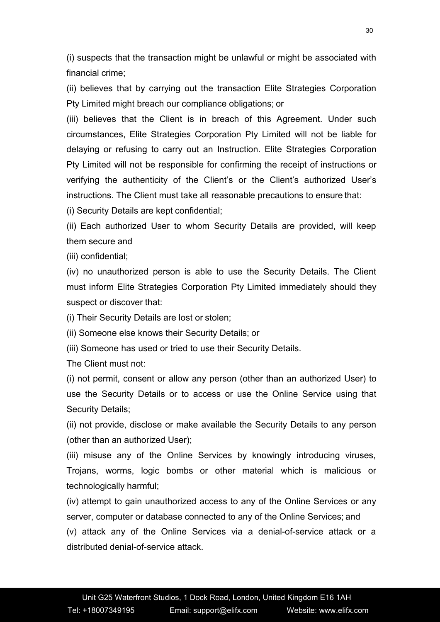(i) suspects that the transaction might be unlawful or might be associated with financial crime;

(ii) believes that by carrying out the transaction Elite Strategies Corporation Pty Limited might breach our compliance obligations;or

(iii) believes that the Client is in breach of this Agreement. Under such circumstances, Elite Strategies Corporation Pty Limited will not be liable for delaying or refusing to carry out an Instruction. Elite Strategies Corporation Pty Limited will not be responsible for confirming the receipt of instructions or verifying the authenticity of the Client's or the Client's authorized User's instructions. The Client must take all reasonable precautions to ensure that:

(i) Security Details are kept confidential;

(ii) Each authorized User to whom Security Details are provided, will keep them secure and

(iii) confidential;

(iv) no unauthorized person is able to use the Security Details. The Client must inform Elite Strategies Corporation Pty Limited immediately should they suspect or discover that:

(i) Their Security Details are lost or stolen;

(ii) Someone else knows their Security Details; or

(iii) Someone has used or tried to use their Security Details.

The Client must not:

(i) not permit, consent or allow any person (other than an authorized User) to use the Security Details or to access or use the Online Service using that Security Details;

(ii) not provide, disclose or make available the Security Details to any person (other than an authorized User);

(iii) misuse any of the Online Services by knowingly introducing viruses, Trojans, worms, logic bombs or other material which is malicious or technologically harmful;

(iv) attempt to gain unauthorized access to any of the Online Services or any server, computer or database connected to any of the Online Services; and

(v) attack any of the Online Services via a denial-of-service attack or a distributed denial-of-service attack.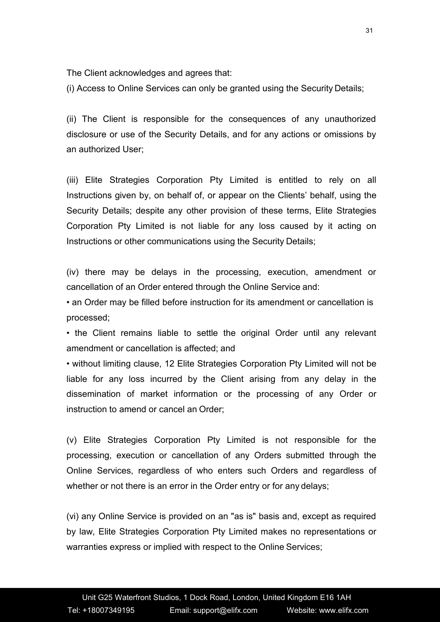The Client acknowledges and agrees that:

(i) Access to Online Services can only be granted using the Security Details;

(ii) The Client is responsible for the consequences of any unauthorized disclosure or use of the Security Details, and for any actions or omissions by an authorized User;

(iii) Elite Strategies Corporation Pty Limited is entitled to rely on all Instructions given by, on behalf of, or appear on the Clients' behalf, using the Security Details; despite any other provision of these terms, Elite Strategies Corporation Pty Limited is not liable for any loss caused by it acting on Instructions or other communications using the Security Details;

(iv) there may be delays in the processing, execution, amendment or cancellation of an Order entered through the Online Service and:

• an Order may be filled before instruction for its amendment or cancellation is processed;

• the Client remains liable to settle the original Order until any relevant amendment or cancellation is affected; and

• without limiting clause, 12 Elite Strategies Corporation Pty Limited will not be liable for any loss incurred by the Client arising from any delay in the dissemination of market information or the processing of any Order or instruction to amend or cancel an Order;

(v) Elite Strategies Corporation Pty Limited is not responsible for the processing, execution or cancellation of any Orders submitted through the Online Services, regardless of who enters such Orders and regardless of whether or not there is an error in the Order entry or for any delays;

(vi) any Online Service is provided on an "as is" basis and, except as required by law, Elite Strategies Corporation Pty Limited makes no representations or warranties express or implied with respect to the Online Services;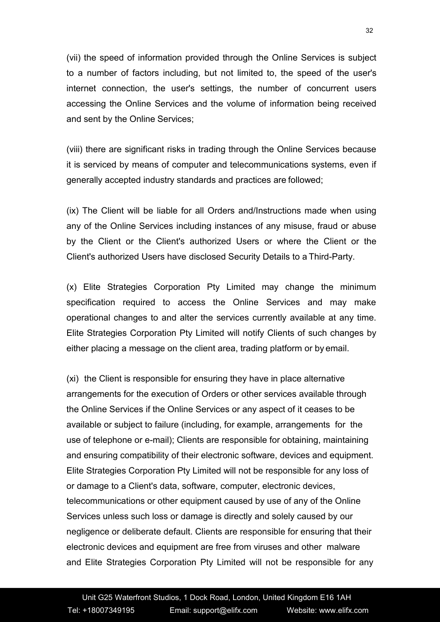(vii) the speed of information provided through the Online Services is subject to a number of factors including, but not limited to, the speed of the user's internet connection, the user's settings, the number of concurrent users accessing the Online Services and the volume of information being received and sent by the Online Services;

(viii) there are significant risks in trading through the Online Services because it is serviced by means of computer and telecommunications systems, even if generally accepted industry standards and practices are followed;

(ix) The Client will be liable for all Orders and/Instructions made when using any of the Online Services including instances of any misuse, fraud or abuse by the Client or the Client's authorized Users or where the Client or the Client's authorized Users have disclosed Security Details to a Third-Party.

(x) Elite Strategies Corporation Pty Limited may change the minimum specification required to access the Online Services and may make operational changes to and alter the services currently available at any time. Elite Strategies Corporation Pty Limited will notify Clients of such changes by either placing a message on the client area, trading platform or by email.

(xi) the Client is responsible for ensuring they have in place alternative arrangements for the execution of Orders or other services available through the Online Services if the Online Services or any aspect of it ceases to be available or subject to failure (including, for example, arrangements for the use of telephone or e-mail); Clients are responsible for obtaining, maintaining and ensuring compatibility of their electronic software, devices and equipment. Elite Strategies Corporation Pty Limited will not be responsible for any loss of or damage to a Client's data, software, computer, electronic devices, telecommunications or other equipment caused by use of any of the Online Services unless such loss or damage is directly and solely caused by our negligence or deliberate default. Clients are responsible for ensuring that their electronic devices and equipment are free from viruses and other malware and Elite Strategies Corporation Pty Limited will not be responsible for any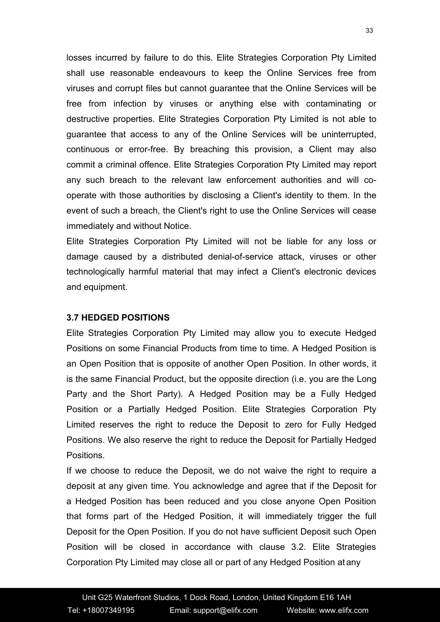losses incurred by failure to do this. Elite Strategies Corporation Pty Limited shall use reasonable endeavours to keep the Online Services free from viruses and corrupt files but cannot guarantee that the Online Services will be free from infection by viruses or anything else with contaminating or destructive properties. Elite Strategies Corporation Pty Limited is not able to guarantee that access to any of the Online Services will be uninterrupted, continuous or error-free. By breaching this provision, a Client may also commit a criminal offence. Elite Strategies Corporation Pty Limited may report any such breach to the relevant law enforcement authorities and will co operate with those authorities by disclosing a Client's identity to them. In the event of such a breach, the Client's right to use the Online Services will cease immediately and without Notice.

Elite Strategies Corporation Pty Limited will not be liable for any loss or damage caused by a distributed denial-of-service attack, viruses or other technologically harmful material that may infect a Client's electronic devices and equipment.

### **3.7 HEDGED POSITIONS**

Elite Strategies Corporation Pty Limited may allow you to execute Hedged Positions on some Financial Products from time to time. A Hedged Position is an Open Position that is opposite of another Open Position. In other words, it is the same Financial Product, but the opposite direction (i.e. you are the Long Party and the Short Party). A Hedged Position may be a Fully Hedged Position or a Partially Hedged Position. Elite Strategies Corporation Pty Limited reserves the right to reduce the Deposit to zero for Fully Hedged Positions. We also reserve the right to reduce the Deposit for Partially Hedged Positions.

If we choose to reduce the Deposit, we do not waive the right to require a deposit at any given time. You acknowledge and agree that if the Deposit for a Hedged Position has been reduced and you close anyone Open Position that forms part of the Hedged Position, it will immediately trigger the full Deposit for the Open Position. If you do not have sufficient Deposit such Open Position will be closed in accordance with clause 3.2. Elite Strategies Corporation Pty Limited may close all or part of any Hedged Position at any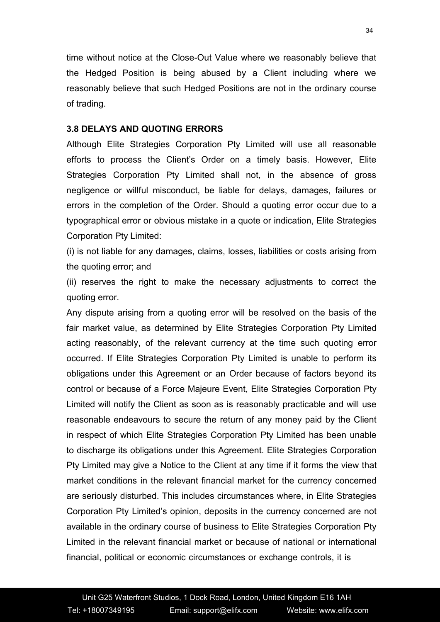time without notice at the Close-Out Value where we reasonably believe that the Hedged Position is being abused by a Client including where we reasonably believe that such Hedged Positions are not in the ordinary course of trading.

#### **3.8 DELAYS AND QUOTING ERRORS**

Although Elite Strategies Corporation Pty Limited will use all reasonable efforts to process the Client's Order on a timely basis. However, Elite Strategies Corporation Pty Limited shall not, in the absence of gross negligence or willful misconduct, be liable for delays, damages, failures or errors in the completion of the Order. Should a quoting error occur due to a typographical error or obvious mistake in a quote or indication, Elite Strategies Corporation Pty Limited:

(i) is not liable for any damages, claims, losses, liabilities or costs arising from the quoting error; and

(ii) reserves the right to make the necessary adjustments to correct the quoting error.

Any dispute arising from a quoting error will be resolved on the basis of the fair market value, as determined by Elite Strategies Corporation Pty Limited acting reasonably, of the relevant currency at the time such quoting error occurred. If Elite Strategies Corporation Pty Limited is unable to perform its obligations under this Agreement or an Order because of factors beyond its control or because of a Force Majeure Event, Elite Strategies Corporation Pty Limited will notify the Client as soon as is reasonably practicable and will use reasonable endeavours to secure the return of any money paid by the Client in respect of which Elite Strategies Corporation Pty Limited has been unable to discharge its obligations under this Agreement. Elite Strategies Corporation Pty Limited may give a Notice to the Client at any time if it forms the view that market conditions in the relevant financial market for the currency concerned are seriously disturbed. This includes circumstances where, in Elite Strategies Corporation Pty Limited's opinion, deposits in the currency concerned are not available in the ordinary course of business to Elite Strategies Corporation Pty Limited in the relevant financial market or because of national or international financial, political or economic circumstances or exchange controls, it is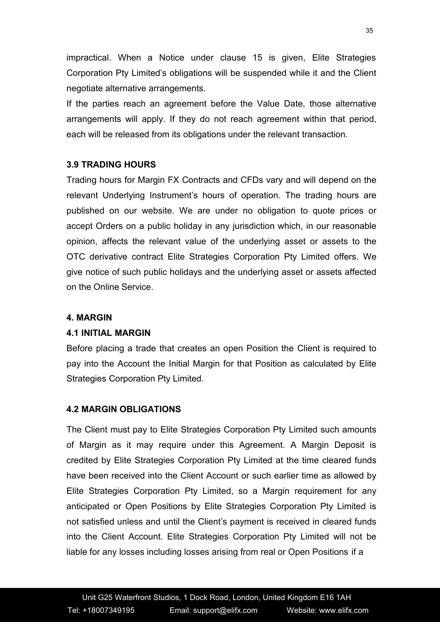impractical. When a Notice under clause 15 is given, Elite Strategies Corporation Pty Limited's obligations will be suspended while it and the Client negotiate alternative arrangements.

If the parties reach an agreement before the Value Date, those alternative arrangements will apply. If they do not reach agreement within that period, each will be released from its obligations under the relevant transaction.

# **3.9 TRADING HOURS**

Trading hours for Margin FX Contracts and CFDs vary and will depend on the relevant Underlying Instrument's hours of operation. The trading hours are published on our website. We are under no obligation to quote prices or accept Orders on a public holiday in any jurisdiction which, in our reasonable opinion, affects the relevant value of the underlying asset or assets to the OTC derivative contract Elite Strategies Corporation Pty Limited offers. We give notice of such public holidays and the underlying asset or assets affected on the Online Service.

### **4. MARGIN**

### **4.1 INITIAL MARGIN**

Before placing a trade that creates an open Position the Client is required to pay into the Account the Initial Margin for that Position as calculated by Elite Strategies Corporation Pty Limited.

### **4.2 MARGIN OBLIGATIONS**

The Client must pay to Elite Strategies Corporation Pty Limited such amounts of Margin as it may require under this Agreement. A Margin Deposit is credited by Elite Strategies Corporation Pty Limited at the time cleared funds have been received into the Client Account or such earlier time as allowed by Elite Strategies Corporation Pty Limited, so a Margin requirement for any anticipated or Open Positions by Elite Strategies Corporation Pty Limited is not satisfied unless and until the Client's payment is received in cleared funds into the Client Account. Elite Strategies Corporation Pty Limited will not be liable for any losses including losses arising from real or Open Positions if a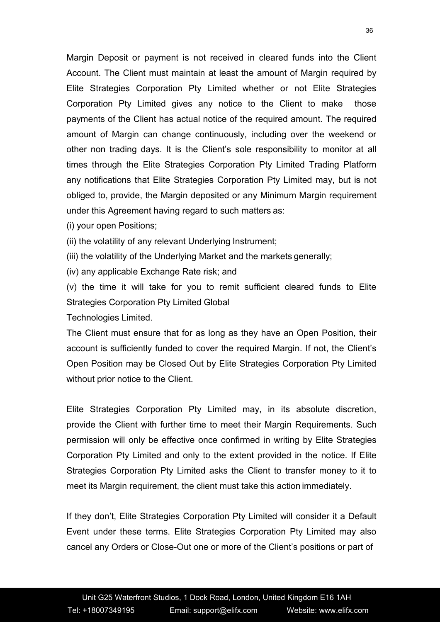Margin Deposit or payment is not received in cleared funds into the Client Account. The Client must maintain at least the amount of Margin required by Elite Strategies Corporation Pty Limited whether or not Elite Strategies Corporation Pty Limited gives any notice to the Client to make those payments of the Client has actual notice of the required amount. The required amount of Margin can change continuously, including over the weekend or other non trading days. It is the Client's sole responsibility to monitor at all times through the Elite Strategies Corporation Pty Limited Trading Platform any notifications that Elite Strategies Corporation Pty Limited may, but is not obliged to, provide, the Margin deposited or any Minimum Margin requirement under this Agreement having regard to such matters as:

- (i) your open Positions;
- (ii) the volatility of any relevant Underlying Instrument;
- (iii) the volatility of the Underlying Market and the markets generally;
- (iv) any applicable Exchange Rate risk; and

(v) the time it will take for you to remit sufficient cleared funds to Elite Strategies Corporation Pty Limited Global

Technologies Limited.

The Client must ensure that for as long as they have an Open Position, their account is sufficiently funded to cover the required Margin. If not, the Client's Open Position may be Closed Out by Elite Strategies Corporation Pty Limited without prior notice to the Client.

Elite Strategies Corporation Pty Limited may, in its absolute discretion, provide the Client with further time to meet their Margin Requirements. Such permission will only be effective once confirmed in writing by Elite Strategies Corporation Pty Limited and only to the extent provided in the notice. If Elite Strategies Corporation Pty Limited asks the Client to transfer money to it to meet its Margin requirement, the client must take this action immediately.

If they don't, Elite Strategies Corporation Pty Limited will consider it a Default Event under these terms. Elite Strategies Corporation Pty Limited may also cancel any Orders or Close-Out one or more of the Client's positions or part of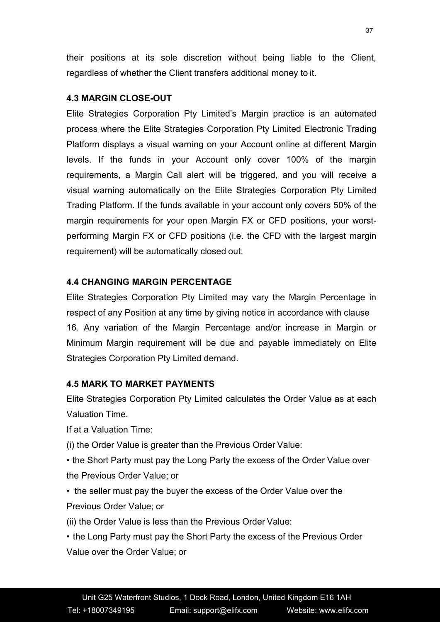their positions at its sole discretion without being liable to the Client, regardless of whether the Client transfers additional money to it.

# **4.3 MARGIN CLOSE-OUT**

Elite Strategies Corporation Pty Limited's Margin practice is an automated process where the Elite Strategies Corporation Pty Limited Electronic Trading Platform displays a visual warning on your Account online at different Margin levels. If the funds in your Account only cover 100% of the margin requirements, a Margin Call alert will be triggered, and you will receive a visual warning automatically on the Elite Strategies Corporation Pty Limited Trading Platform. If the funds available in your account only covers 50% of the margin requirements for your open Margin FX or CFD positions, your worst performing Margin FX or CFD positions (i.e. the CFD with the largest margin requirement) will be automatically closed out.

# **4.4 CHANGING MARGIN PERCENTAGE**

Elite Strategies Corporation Pty Limited may vary the Margin Percentage in respect of any Position at any time by giving notice in accordance with clause 16. Any variation of the Margin Percentage and/or increase in Margin or Minimum Margin requirement will be due and payable immediately on Elite Strategies Corporation Pty Limited demand.

### **4.5 MARK TO MARKET PAYMENTS**

Elite Strategies Corporation Pty Limited calculates the Order Value as at each Valuation Time.

If at a Valuation Time:

(i) the Order Value is greater than the Previous Order Value:

• the Short Party must pay the Long Party the excess of the Order Value over the Previous Order Value; or

• the seller must pay the buyer the excess of the Order Value over the Previous Order Value; or

(ii) the Order Value is less than the Previous Order Value:

• the Long Party must pay the Short Party the excess of the Previous Order Value over the Order Value; or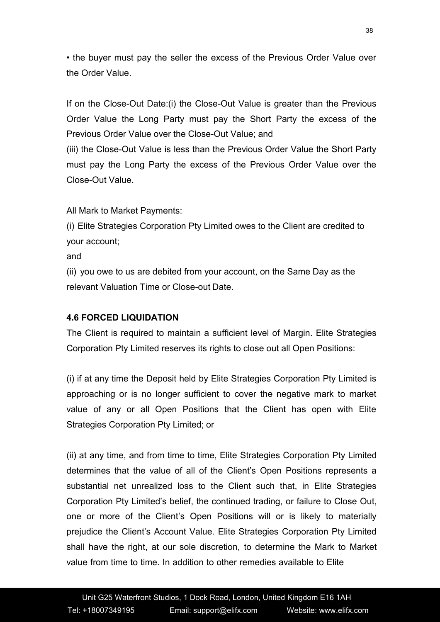• the buyer must pay the seller the excess of the Previous Order Value over the Order Value.

If on the Close-Out Date: (i) the Close-Out Value is greater than the Previous Order Value the Long Party must pay the Short Party the excess of the Previous Order Value over the Close-Out Value; and

(iii) the Close-Out Value is less than the Previous Order Value the Short Party must pay the Long Party the excess of the Previous Order Value over the Close-Out Value.

All Mark to Market Payments:

(i) Elite Strategies Corporation Pty Limited owes to the Client are credited to your account;

and

(ii) you owe to us are debited from your account, on the Same Day as the relevant Valuation Time or Close-out Date.

# **4.6 FORCED LIQUIDATION**

The Client is required to maintain a sufficient level of Margin. Elite Strategies Corporation Pty Limited reserves its rights to close out all Open Positions:

(i) if at any time the Deposit held by Elite Strategies Corporation Pty Limited is approaching or is no longer sufficient to cover the negative mark to market value of any or all Open Positions that the Client has open with Elite Strategies Corporation Pty Limited; or

(ii) at any time, and from time to time, Elite Strategies Corporation Pty Limited determines that the value of all of the Client's Open Positions represents a substantial net unrealized loss to the Client such that, in Elite Strategies Corporation Pty Limited's belief, the continued trading, or failure to Close Out, one or more of the Client's Open Positions will or is likely to materially prejudice the Client's Account Value. Elite Strategies Corporation Pty Limited shall have the right, at our sole discretion, to determine the Mark to Market value from time to time. In addition to other remedies available to Elite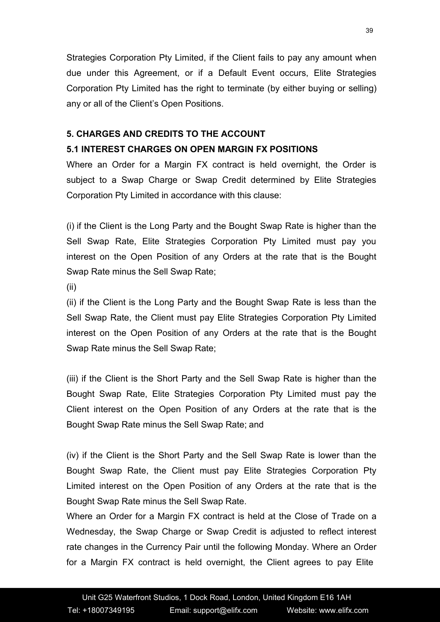Strategies Corporation Pty Limited, if the Client fails to pay any amount when due under this Agreement, or if a Default Event occurs, Elite Strategies Corporation Pty Limited has the right to terminate (by either buying or selling) any or all of the Client's Open Positions.

# **5. CHARGES AND CREDITS TO THE ACCOUNT**

# **5.1 INTEREST CHARGES ON OPEN MARGIN FX POSITIONS**

Where an Order for a Margin FX contract is held overnight, the Order is subject to a Swap Charge or Swap Credit determined by Elite Strategies Corporation Pty Limited in accordance with this clause:

(i) if the Client is the Long Party and the Bought Swap Rate ishigher than the Sell Swap Rate, Elite Strategies Corporation Pty Limited must pay you interest on the Open Position of any Orders at the rate that is the Bought Swap Rate minus the Sell Swap Rate;

(ii)

(ii) if the Client is the Long Party and the Bought Swap Rate is less than the Sell Swap Rate, the Client must pay Elite Strategies Corporation Pty Limited interest on the Open Position of any Orders at the rate that is the Bought Swap Rate minus the Sell Swap Rate;

(iii) if the Client is the Short Party and the Sell Swap Rate is higher than the Bought Swap Rate, Elite Strategies Corporation Pty Limited must pay the Client interest on the Open Position of any Orders at the rate that is the Bought Swap Rate minus the Sell Swap Rate; and

(iv) if the Client is the Short Party and the Sell Swap Rate is lower than the Bought Swap Rate, the Client must pay Elite Strategies Corporation Pty Limited interest on the Open Position of any Orders at the rate that is the Bought Swap Rate minus the Sell Swap Rate.

Where an Order for a Margin FX contract is held at the Close of Trade on a Wednesday, the Swap Charge or Swap Credit is adjusted to reflect interest rate changes in the Currency Pair until the following Monday. Where an Order for a Margin FX contract is held overnight, the Client agrees to pay Elite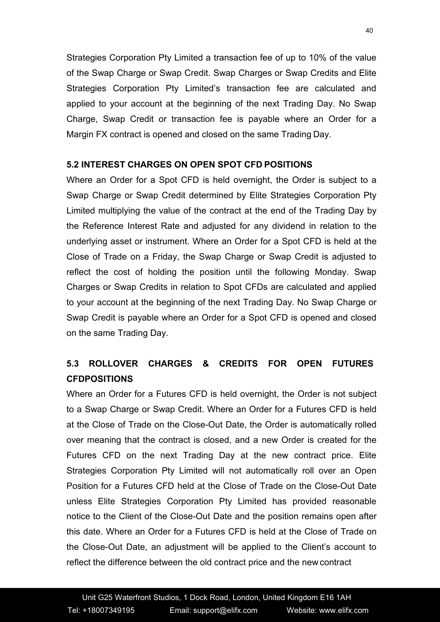Strategies Corporation Pty Limited a transaction fee of up to 10% of the value of the Swap Charge or Swap Credit. Swap Charges or Swap Credits and Elite Strategies Corporation Pty Limited's transaction fee are calculated and applied to your account at the beginning of the next Trading Day. No Swap Charge, Swap Credit or transaction fee is payable where an Order for a Margin FX contract is opened and closed on the same Trading Day.

# **5.2 INTEREST CHARGES ON OPEN SPOT CFD POSITIONS**

Where an Order for a Spot CFD is held overnight, the Order is subject to a Swap Charge or Swap Credit determined by Elite Strategies Corporation Pty Limited multiplying the value of the contract at the end of the Trading Day by the Reference Interest Rate and adjusted for any dividend in relation to the underlying asset or instrument. Where an Order for a Spot CFD is held at the Close of Trade on a Friday, the Swap Charge or Swap Credit is adjusted to reflect the cost of holding the position until the following Monday. Swap Charges or Swap Credits in relation to Spot CFDs are calculated and applied to your account at the beginning of the next Trading Day. No Swap Charge or Swap Credit is payable where an Order for a Spot CFD is opened and closed on the same Trading Day.

# **5.3 ROLLOVER CHARGES & CREDITS FOR OPEN FUTURES CFDPOSITIONS**

Where an Order for a Futures CFD is held overnight, the Order is not subject to a Swap Charge or Swap Credit. Where an Order for a Futures CFD is held at the Close of Trade on the Close-Out Date, the Order is automatically rolled over meaning that the contract is closed, and a new Order is created for the Futures CFD on the next Trading Day at the new contract price. Elite Strategies Corporation Pty Limited will not automatically roll over an Open Position for a Futures CFD held at the Close of Trade on the Close-Out Date unless Elite Strategies Corporation Pty Limited has provided reasonable notice to the Client of the Close-Out Date and the position remains open after this date. Where an Order for a Futures CFD is held at the Close of Trade on the Close-Out Date, an adjustmentwill be applied to the Client's account to reflect the difference between the old contract price and the new contract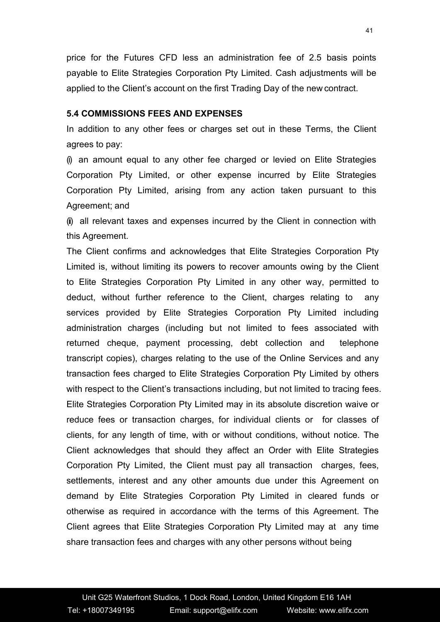price for the Futures CFD less an administration fee of 2.5 basis points payable to Elite Strategies Corporation Pty Limited. Cash adjustments will be applied to the Client's account on the first Trading Day of the new contract.

#### **5.4 COMMISSIONS FEES AND EXPENSES**

In addition to any other fees or charges set out in these Terms, the Client agrees to pay:

(i) an amount equal to any other fee charged or levied on Elite Strategies Corporation Pty Limited, or other expense incurred by Elite Strategies Corporation Pty Limited, arising from any action taken pursuant to this Agreement; and

(ii) all relevant taxes and expenses incurred by the Client in connection with this Agreement.

The Client confirms and acknowledges that Elite Strategies Corporation Pty Limited is, without limiting its powers to recover amounts owing by the Client to Elite Strategies Corporation Pty Limited in any other way, permitted to deduct, without further reference to the Client, charges relating to any services provided by Elite Strategies Corporation Pty Limited including administration charges (including but not limited to fees associated with returned cheque, payment processing, debt collection and telephone transcript copies), charges relating to the use of the Online Services and any transaction fees charged to Elite Strategies Corporation Pty Limited by others with respect to the Client's transactions including, but not limited to tracing fees. Elite Strategies Corporation Pty Limited may in its absolute discretion waive or reduce fees or transaction charges, for individual clients or for classes of clients, for any length of time, with or without conditions, without notice. The Client acknowledges that should they affect an Order with Elite Strategies Corporation Pty Limited, the Client must pay all transaction charges, fees, settlements, interest and any other amounts due under this Agreement on demand by Elite Strategies Corporation Pty Limited in cleared funds or otherwise as required in accordance with the terms of this Agreement. The Client agrees that Elite Strategies Corporation Pty Limited may at any time share transaction fees and charges with any other persons without being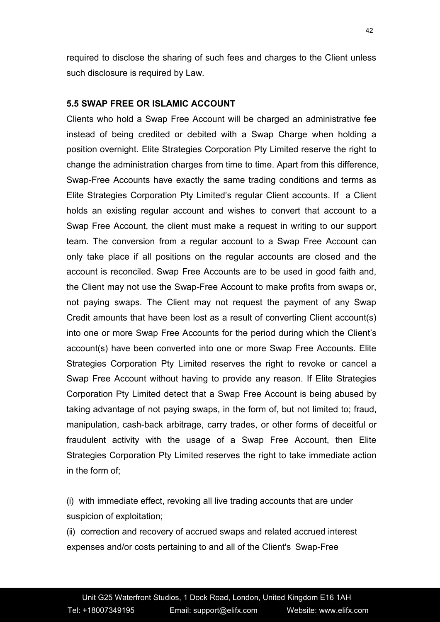required to disclose the sharing of such fees and charges to the Client unless such disclosure is required by Law.

#### **5.5 SWAP FREE OR ISLAMIC ACCOUNT**

Clients who hold a Swap Free Account will be charged an administrative fee instead of being credited or debited with a Swap Charge when holding a position overnight. Elite Strategies Corporation Pty Limited reserve the right to change the administration charges from time to time. Apart from this difference, Swap-Free Accounts have exactly the same trading conditions and terms as Elite Strategies Corporation Pty Limited's regular Client accounts. If a Client holds an existing regular account and wishes to convert that account to a Swap Free Account, the client must make a request in writing to our support team. The conversion from a regular account to a Swap Free Account can only take place if all positions on the regular accounts are closed and the account is reconciled. Swap Free Accounts are to be used in good faith and, the Client may not use the Swap-Free Account to make profits from swaps or, not paying swaps. The Client may not request the payment of any Swap Credit amounts that have been lost as a result of converting Client account(s) into one or more Swap Free Accounts for the period during which the Client's account(s) have been converted into one or more Swap Free Accounts. Elite Strategies Corporation Pty Limited reserves the right to revoke or cancel a Swap Free Account without having to provide any reason. If Elite Strategies Corporation Pty Limited detect that a Swap Free Account is being abused by taking advantage of not paying swaps, in the form of, but not limited to; fraud, manipulation, cash-back arbitrage, carry trades, or other forms of deceitful or fraudulent activity with the usage of a Swap Free Account, then Elite Strategies Corporation Pty Limited reserves the right to take immediate action in the form of;

(i) with immediate effect, revoking all live trading accounts that are under suspicion of exploitation;

(ii) correction and recovery of accrued swaps and related accrued interest expenses and/or costs pertaining to and all of the Client's Swap-Free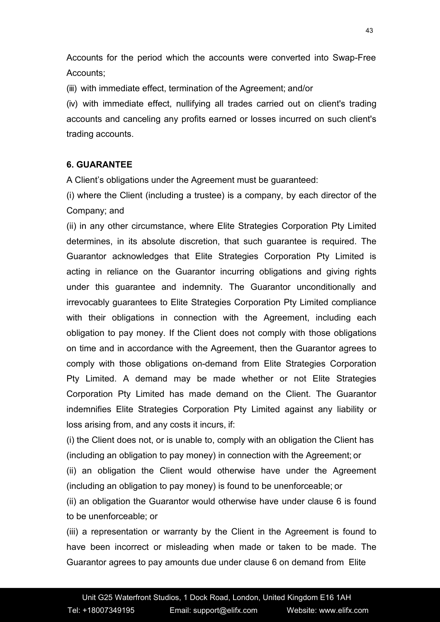Accounts for the period which the accounts were converted into Swap-Free Accounts;

(iii) with immediate effect, termination of the Agreement; and/or

(iv) with immediate effect, nullifying all trades carried out on client's trading accounts and canceling any profits earned or losses incurred on such client's trading accounts.

### **6. GUARANTEE**

A Client's obligations under the Agreement must be guaranteed:

(i) where the Client (including a trustee) is a company, by each director of the Company; and

(ii) in any other circumstance, where Elite Strategies Corporation Pty Limited determines, in its absolute discretion, that such guarantee is required. The Guarantor acknowledges that Elite Strategies Corporation Pty Limited is acting in reliance on the Guarantor incurring obligations and giving rights under this guarantee and indemnity. The Guarantor unconditionally and irrevocably guarantees to Elite Strategies Corporation Pty Limited compliance with their obligations in connection with the Agreement, including each obligation to pay money. If the Client does not comply with those obligations on time and in accordance with the Agreement, then the Guarantor agrees to comply with those obligations on-demand from Elite Strategies Corporation Pty Limited. A demand may be made whether or not Elite Strategies Corporation Pty Limited has made demand on the Client. The Guarantor indemnifies Elite Strategies Corporation Pty Limited against any liability or loss arising from, and any costs it incurs, if:

(i) the Client does not, or is unable to, comply with an obligation the Client has (including an obligation to pay money) in connection with the Agreement; or (ii) an obligation the Client would otherwise have under the Agreement (including an obligation to pay money) is found to be unenforceable; or

(ii) an obligation the Guarantor would otherwise have under clause 6 is found to be unenforceable; or

(iii) a representation or warranty by the Client in the Agreement is found to have been incorrect or misleading when made or taken to be made. The Guarantor agrees to pay amounts due under clause 6 on demand from Elite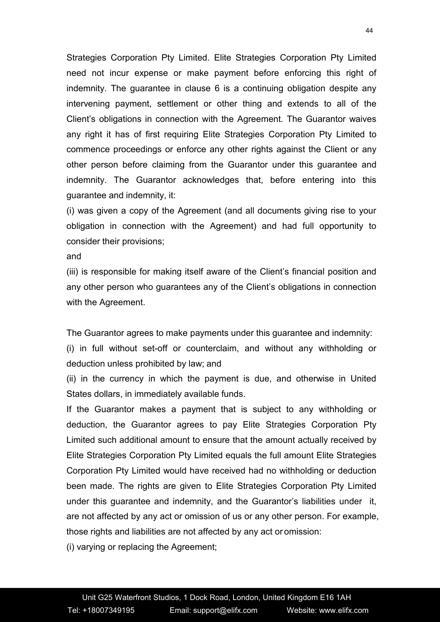Strategies Corporation Pty Limited. Elite Strategies Corporation Pty Limited need not incur expense or make payment before enforcing this right of indemnity. The guarantee in clause 6 is a continuing obligation despite any intervening payment, settlement or other thing and extends to all of the Client's obligations in connection with the Agreement. The Guarantor waives any right it has of first requiring Elite Strategies Corporation Pty Limited to commence proceedings or enforce any other rights against the Client orany other person before claiming from the Guarantor under this guarantee and indemnity. The Guarantor acknowledges that, before entering into this guarantee and indemnity, it:

(i) was given a copy of the Agreement (and all documents giving rise to your obligation in connection with the Agreement) and had full opportunity to consider their provisions;

and

(iii) is responsible for making itself aware of the Client's financial position and any other person who guarantees any of the Client's obligations in connection with the Agreement.

The Guarantor agrees to make payments under this guarantee and indemnity:

(i) in full without set-off or counterclaim, and without any withholding or deduction unless prohibited by law; and

(ii) in the currency in which the payment is due, and otherwise in United States dollars, in immediately available funds.

If the Guarantor makes a payment that is subject to any withholding or deduction, the Guarantor agrees to pay Elite Strategies Corporation Pty Limited such additional amount to ensure that the amount actually received by Elite Strategies Corporation Pty Limited equals the full amount Elite Strategies Corporation Pty Limited would have received had no withholding or deduction been made. The rights are given to Elite Strategies Corporation Pty Limited under this guarantee and indemnity, and the Guarantor's liabilities under it, are not affected by any act or omission of us or any other person. For example, those rights and liabilities are not affected by any act or omission:

(i) varying or replacing the Agreement;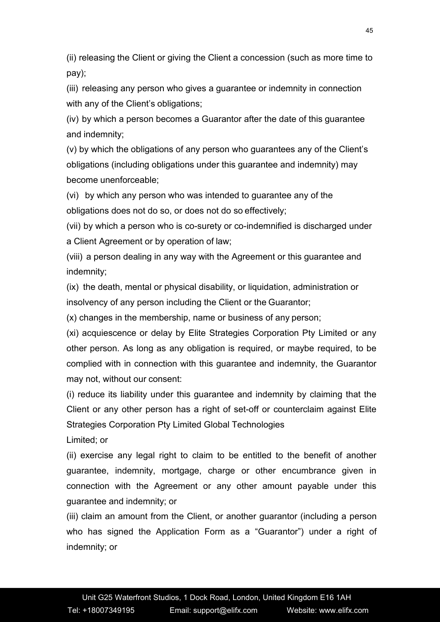(ii) releasing the Client or giving the Client a concession (such as more time to pay);

(iii) releasing any person who gives a guarantee or indemnity in connection with any of the Client's obligations;

(iv) by which a person becomes a Guarantor after the date of this guarantee and indemnity;

(v) by which the obligations of any person who guarantees any of the Client's obligations (including obligations under this guarantee and indemnity) may become unenforceable;

(vi) by which any person who was intended to guarantee any of the obligations does not do so, or does not do so effectively;

(vii) by which a person who is co-surety or co-indemnified is discharged under a Client Agreement or by operation of law;

(viii) a person dealing in any way with the Agreement or this guarantee and indemnity;

 $(ix)$  the death, mental or physical disability, or liquidation, administration or insolvency of any person including the Client or the Guarantor;

(x) changes in the membership, name or business of any person;

(xi) acquiescence or delay by Elite Strategies Corporation Pty Limited or any other person. As long as any obligation is required, or maybe required, to be complied with in connection with this guarantee and indemnity, the Guarantor may not, without our consent:

(i) reduce its liability under this guarantee and indemnity by claiming that the Client or any other person has a right of set-off or counterclaim against Elite Strategies Corporation Pty Limited Global Technologies

Limited; or

(ii) exercise any legal right to claim to be entitled to the benefit of another guarantee, indemnity, mortgage, charge or other encumbrance given in connection with the Agreement or any other amount payable under this guarantee and indemnity; or

(iii) claim an amount from the Client, or another guarantor (including a person who has signed the Application Form as a "Guarantor") under a right of indemnity; or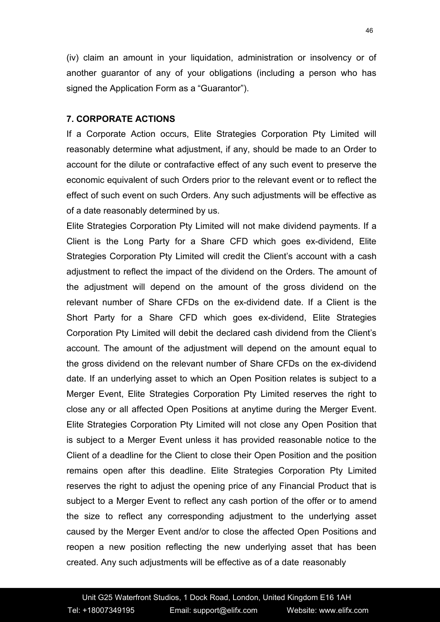(iv) claim an amount in your liquidation, administration or insolvency or of another guarantor of any of your obligations (including a person who has signed the Application Form as a "Guarantor").

#### **7. CORPORATE ACTIONS**

If a Corporate Action occurs, Elite Strategies Corporation Pty Limited will reasonably determine what adjustment, if any, should be made to an Order to account for the dilute or contrafactive effect of any such event to preserve the economic equivalent of such Orders prior to the relevant event or to reflect the effect of such event on such Orders. Any such adjustments will be effective as of a date reasonably determined by us.

Elite Strategies Corporation Pty Limited will not make dividend payments. If a Client is the Long Party for a Share CFD which goes ex-dividend, Elite Strategies Corporation Pty Limited will credit the Client's account with a cash adjustment to reflect the impact of the dividend on the Orders. The amount of the adjustment will depend on the amount of the gross dividend on the relevant number of Share CFDs on the ex-dividend date. If a Client is the Short Party for a Share CFD which goes ex-dividend, Elite Strategies Corporation Pty Limited will debit the declared cash dividend from the Client's account. The amount of the adjustment will depend on the amount equal to the gross dividend on the relevant number of Share CFDs on the ex-dividend date. If an underlying asset to which an Open Position relates is subject to a Merger Event, Elite Strategies Corporation Pty Limited reserves the right to close any or all affected Open Positions at anytime during the Merger Event. Elite Strategies Corporation Pty Limited will not close any Open Position that is subject to a Merger Event unless it has provided reasonable notice to the Client of a deadline for the Client to close their Open Position and the position remains open after this deadline. Elite Strategies Corporation Pty Limited reserves the right to adjust the opening price of any Financial Product that is subject to a Merger Event to reflect any cash portion of the offer or to amend the size to reflect any corresponding adjustment to the underlying asset caused by the Merger Event and/or to close the affected Open Positions and reopen a new position reflecting the new underlying asset that has been created. Any such adjustments will be effective as of a date reasonably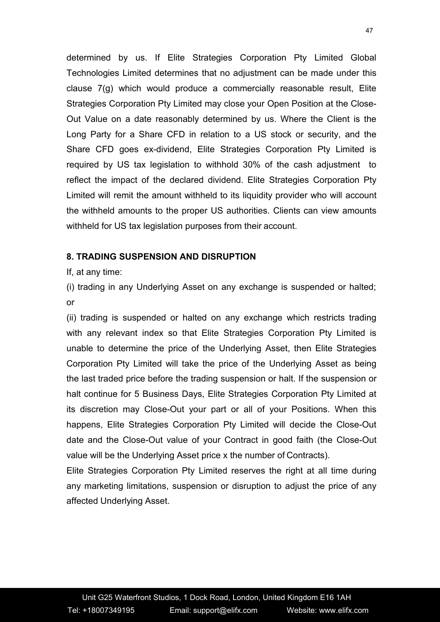determined by us. If Elite Strategies Corporation Pty Limited Global Technologies Limited determines that no adjustment can be made under this clause 7(g) which would produce a commercially reasonable result, Elite Strategies Corporation Pty Limited may close your Open Position at the Close- Out Value on a date reasonably determined by us. Where the Client is the Long Party for a Share CFD in relation to a US stock or security, and the Share CFD goes ex-dividend, Elite Strategies Corporation Pty Limited is required by US tax legislation to withhold 30% of the cash adjustment to reflect the impact of the declared dividend. Elite Strategies Corporation Pty Limited will remit the amount withheld to its liquidity provider who will account the withheld amounts to the proper US authorities. Clients can view amounts withheld for US tax legislation purposes from their account.

#### **8. TRADING SUSPENSION AND DISRUPTION**

If, at any time:

(i) trading in any Underlying Asset on any exchange is suspended or halted; or

(ii) trading is suspended or halted on any exchange which restricts trading with any relevant index so that Elite Strategies Corporation Pty Limited is unable to determine the price of the Underlying Asset, then Elite Strategies Corporation Pty Limited will take the price of the Underlying Asset as being the last traded price before the trading suspension or halt. If the suspension or halt continue for 5 Business Days, Elite Strategies Corporation Pty Limited at its discretion may Close-Out your part or all of your Positions. When this happens, Elite Strategies Corporation Pty Limited will decide the Close-Out date and the Close-Out value of your Contract in good faith (the Close-Out value will be the Underlying Asset price x the number of Contracts).

Elite Strategies Corporation Pty Limited reserves the right at all time during any marketing limitations, suspension or disruption to adjust the price of any affected Underlying Asset.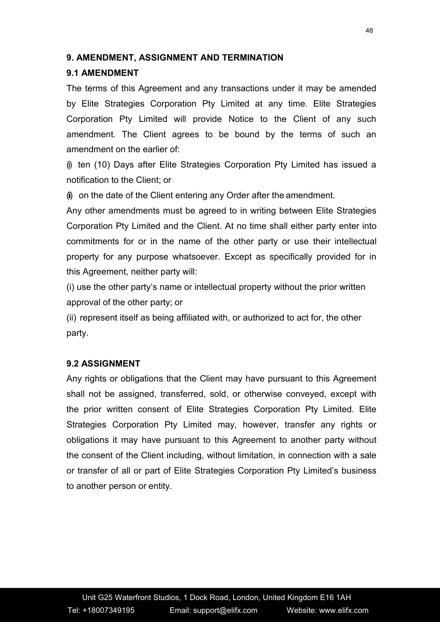#### **9. AMENDMENT, ASSIGNMENT AND TERMINATION**

## **9.1 AMENDMENT**

The terms of this Agreement and any transactions under it may be amended by Elite Strategies Corporation Pty Limited at any time. Elite Strategies Corporation Pty Limited will provide Notice to the Client of any such amendment. The Client agrees to be bound by the terms of such an amendment on the earlier of:

(i) ten (10) Days after Elite Strategies Corporation Pty Limited has issued a notification to the Client; or

(i) on the date of the Client entering any Order after the amendment.

Any other amendments must be agreed to in writing between Elite Strategies Corporation Pty Limited and the Client. At no time shall either party enter into commitments for or in the name of the other party or use their intellectual property for any purpose whatsoever. Except as specifically provided for in this Agreement, neither party will:

 $(i)$  use the other party's name or intellectual property without the prior written approval of the other party; or

(ii) represent itself as being affiliated with, or authorized to act for, the other party.

### **9.2 ASSIGNMENT**

Any rights or obligations that the Client may have pursuant to this Agreement shall not be assigned, transferred, sold, or otherwise conveyed, except with the prior written consent of Elite Strategies Corporation Pty Limited. Elite Strategies Corporation Pty Limited may, however, transfer any rights or obligations it may have pursuant to this Agreement to another party without the consent of the Client including, without limitation, in connection with a sale or transfer of all or part of Elite Strategies Corporation Pty Limited's business to another person or entity.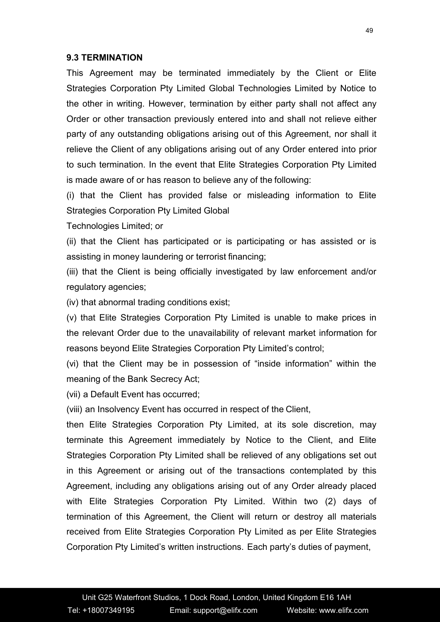#### **9.3 TERMINATION**

This Agreement may be terminated immediately by the Client or Elite Strategies Corporation Pty Limited Global Technologies Limited by Notice to the other in writing. However, termination by either party shall not affect any Order or other transaction previously entered into and shall not relieve either party of any outstanding obligations arising out of this Agreement, nor shall it relieve the Client of any obligations arising out of any Order entered into prior to such termination. In the event that Elite Strategies Corporation Pty Limited is made aware of or has reason to believe any of the following:

(i) that the Client has provided false or misleading information to Elite Strategies Corporation Pty Limited Global

Technologies Limited; or

(ii) that the Client has participated or is participating or has assisted or is assisting in money laundering or terrorist financing;

(iii) that the Client is being officially investigated by law enforcement and/or regulatory agencies;

(iv) that abnormal trading conditions exist;

(v) that Elite Strategies Corporation Pty Limited is unable to make prices in the relevant Order due to the unavailability of relevant market information for reasons beyond Elite Strategies Corporation Pty Limited's control;

(vi) that the Client may be in possession of "inside information" within the meaning of the Bank Secrecy Act;

(vii) a Default Event has occurred;

(viii) an Insolvency Event has occurred in respect of the Client,

then Elite Strategies Corporation Pty Limited, at its sole discretion, may terminate this Agreement immediately by Notice to the Client, and Elite Strategies Corporation Pty Limited shall be relieved of any obligations set out in this Agreement or arising out of the transactions contemplated by this Agreement, including any obligations arising out of any Order already placed with Elite Strategies Corporation Pty Limited. Within two (2) days of termination of this Agreement, the Client will return or destroy all materials received from Elite Strategies Corporation Pty Limited as per Elite Strategies Corporation Pty Limited's written instructions. Each party's duties of payment,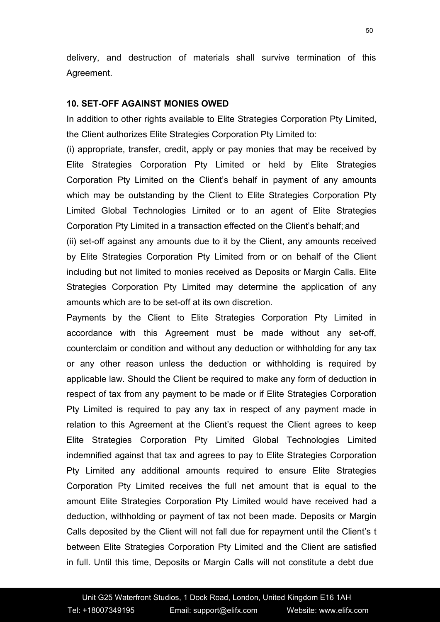delivery, and destruction of materials shall survive termination of this Agreement.

#### **10. SET-OFF AGAINST MONIES OWED**

In addition to other rights available to Elite Strategies Corporation Pty Limited, the Client authorizes Elite Strategies Corporation Pty Limited to:

(i) appropriate, transfer, credit, apply or pay monies that may be received by Elite Strategies Corporation Pty Limited or held by Elite Strategies Corporation Pty Limited on the Client's behalf in payment of any amounts which may be outstanding by the Client to Elite Strategies Corporation Pty Limited Global Technologies Limited or to an agent of Elite Strategies Corporation Pty Limited in a transaction effected on the Client's behalf; and

(ii) set-off against any amounts due to it by the Client, any amounts received by Elite Strategies Corporation Pty Limited from or on behalf of the Client including but not limited to monies received as Deposits or Margin Calls. Elite Strategies Corporation Pty Limited may determine the application of any amounts which are to be set-off at its own discretion.

Payments by the Client to Elite Strategies Corporation Pty Limited in accordance with this Agreement must be made without any set-off, counterclaim or condition and without any deduction or withholding for any tax or any other reason unless the deduction or withholding is required by applicable law. Should the Client be required to make any form of deduction in respect of tax from any payment to be made or if Elite Strategies Corporation Pty Limited is required to pay any tax in respect of any payment made in relation to this Agreement at the Client's request the Client agrees to keep Elite Strategies Corporation Pty Limited Global Technologies Limited indemnified against that tax and agrees to pay to Elite Strategies Corporation Pty Limited any additional amounts required to ensure Elite Strategies Corporation Pty Limited receives the full net amount that is equal to the amount Elite Strategies Corporation Pty Limited would have received had a deduction, withholding or payment of tax not been made. Deposits or Margin Calls deposited by the Client will not fall due for repayment until the Client's t between Elite Strategies Corporation Pty Limited and the Client are satisfied in full. Until this time, Deposits or Margin Calls will not constitute a debt due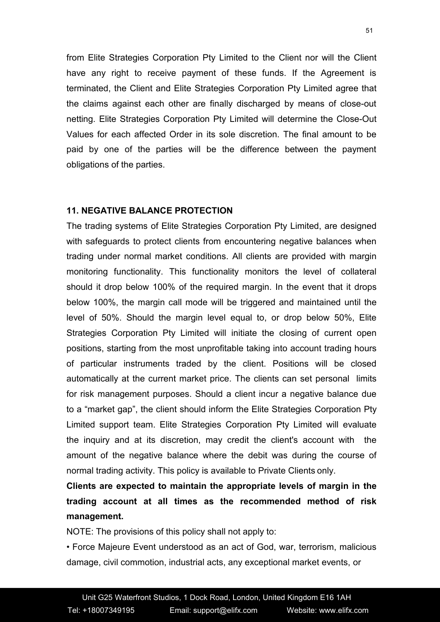from Elite Strategies Corporation Pty Limited to the Client nor will the Client have any right to receive payment of these funds. If the Agreement is terminated, the Client and Elite Strategies Corporation Pty Limited agree that the claims against each other are finally discharged by means of close-out netting. Elite Strategies Corporation Pty Limited will determine the Close-Out Values for each affected Order in its sole discretion. The final amount to be paid by one of the parties will be the difference between the payment obligations of the parties.

#### **11. NEGATIVE BALANCE PROTECTION**

The trading systems of Elite Strategies Corporation Pty Limited, are designed with safeguards to protect clients from encountering negative balances when trading under normal market conditions. All clients are provided with margin monitoring functionality. This functionality monitors the level of collateral should it drop below 100% of the required margin. In the event that it drops below 100%, the margin call mode will be triggered and maintained until the level of 50%. Should the margin level equal to, or drop below 50%, Elite Strategies Corporation Pty Limited will initiate the closing of current open positions, starting from the most unprofitable taking into account trading hours of particular instruments traded by the client. Positions will be closed automatically at the current market price. The clients can set personal limits for risk management purposes. Should a client incur a negative balance due to a "market gap", the client should inform the Elite Strategies Corporation Pty Limited support team. Elite Strategies Corporation Pty Limited will evaluate the inquiry and at its discretion, may credit the client's account with the amount of the negative balance where the debit was during the course of normal trading activity. This policy is available to Private Clients only.

**Clients are expected to maintain the appropriate levels of margin in the trading account at all times as the recommended method of risk management.**

NOTE: The provisions of this policy shall not apply to:

• Force Majeure Event understood as an act of God, war, terrorism, malicious damage, civil commotion, industrial acts, any exceptional market events, or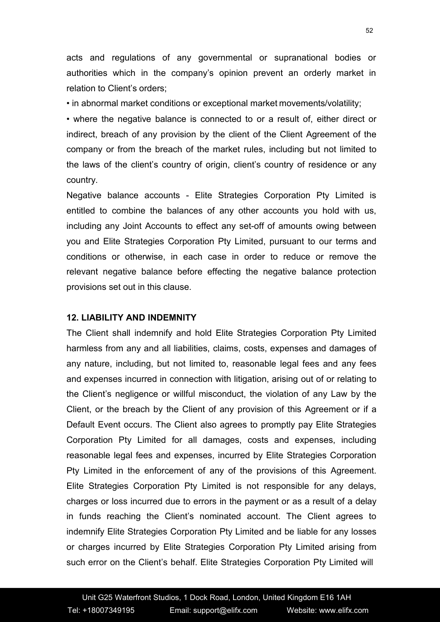acts and regulations of any governmental or supranational bodies or authorities which in the company's opinion prevent an orderly market in relation to Client's orders;

• in abnormal market conditions or exceptional market movements/volatility;

• where the negative balance is connected to or a result of, either direct or indirect, breach of any provision by the client of the Client Agreement of the company or from the breach of the market rules, including but not limited to the laws of the client's country of origin, client's country of residence or any country.

Negative balance accounts - Elite Strategies Corporation Pty Limited is entitled to combine the balances of any other accounts you hold with us, including any Joint Accounts to effect any set-off of amounts owing between you and Elite Strategies Corporation Pty Limited, pursuant to our terms and conditions or otherwise, in each case in order to reduce or remove the relevant negative balance before effecting the negative balance protection provisions set out in this clause.

#### **12. LIABILITY AND INDEMNITY**

The Client shall indemnify and hold Elite Strategies Corporation Pty Limited harmless from any and all liabilities, claims, costs, expenses and damages of any nature, including, but not limited to, reasonable legal fees and any fees and expenses incurred in connection with litigation, arising out of or relating to the Client's negligence or willful misconduct, the violation of any Law by the Client, or the breach by the Client of any provision of this Agreement or if a Default Event occurs. The Client also agrees to promptly pay Elite Strategies Corporation Pty Limited for all damages, costs and expenses, including reasonable legal fees and expenses, incurred by Elite Strategies Corporation Pty Limited in the enforcement of any of the provisions of this Agreement. Elite Strategies Corporation Pty Limited is not responsible for any delays, charges or loss incurred due to errors in the payment or as a result of a delay in funds reaching the Client's nominated account. The Client agrees to indemnify Elite Strategies Corporation Pty Limited and be liable for any losses or charges incurred by Elite Strategies Corporation Pty Limited arising from such error on the Client's behalf. Elite Strategies Corporation Pty Limited will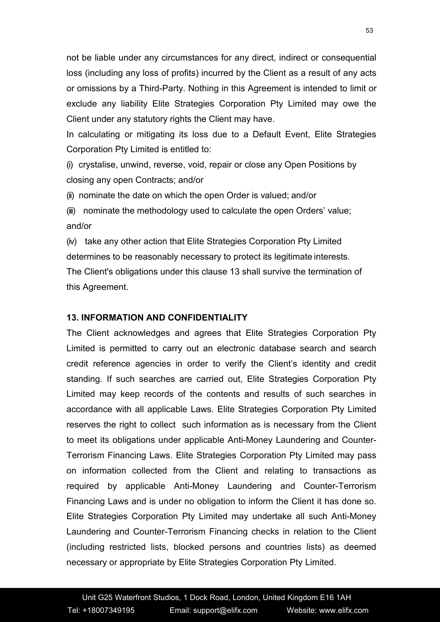not be liable under any circumstances for any direct, indirect or consequential loss (including any loss of profits) incurred by the Client as a result of any acts or omissions by a Third-Party. Nothing in this Agreement is intended to limit or exclude any liability Elite Strategies Corporation Pty Limited may owe the Client under any statutory rights the Client may have.

In calculating or mitigating its loss due to a Default Event, Elite Strategies Corporation Pty Limited is entitled to:

(i) crystalise, unwind, reverse, void, repair or close any Open Positions by closing any open Contracts; and/or

(ii) nominate the date on which the open Order is valued; and/or

(iii) nominate the methodology used to calculate the open Orders' value; and/or

(iv) take any other action that Elite Strategies Corporation Pty Limited determines to be reasonably necessary to protect its legitimate interests. The Client's obligations under this clause 13 shall survive the termination of this Agreement.

#### **13. INFORMATION AND CONFIDENTIALITY**

The Client acknowledges and agrees that Elite Strategies Corporation Pty Limited is permitted to carry out an electronic database search and search credit reference agencies in order to verify the Client's identity and credit standing. If such searches are carried out, Elite Strategies Corporation Pty Limited may keep records of the contents and results of such searches in accordance with all applicable Laws. Elite Strategies Corporation Pty Limited reserves the right to collect such information as is necessary from the Client to meet its obligations under applicable Anti-Money Laundering and Counter-Terrorism Financing Laws. Elite Strategies Corporation Pty Limited may pass on information collected from the Client and relating to transactions as required by applicable Anti-Money Laundering and Counter-Terrorism Financing Laws and is under no obligation to inform the Client it has done so.<br>Elite Strategies Corporation Pty Limited may undertake all such Anti-Money Laundering and Counter-Terrorism Financing checks in relation to the Client (including restricted lists, blocked persons and countries lists) as deemed necessary or appropriate by Elite Strategies Corporation Pty Limited.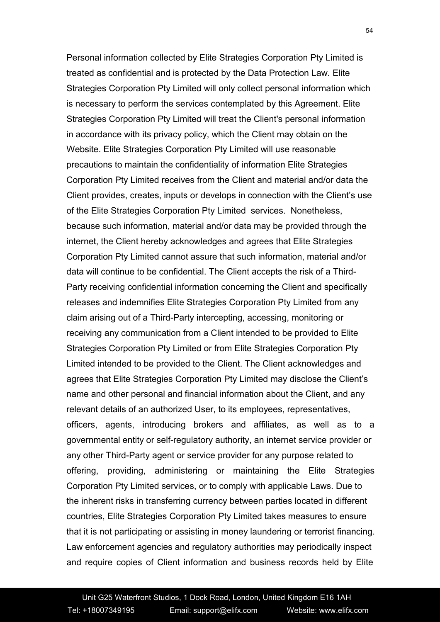Personal information collected by Elite Strategies Corporation Pty Limited is treated as confidential and is protected by the Data Protection Law*.* Elite Strategies Corporation Pty Limited will only collect personal information which is necessary to perform the services contemplated by this Agreement. Elite Strategies Corporation Pty Limited will treat the Client's personal information in accordance with its privacy policy, which the Client may obtain on the Website. Elite Strategies Corporation Pty Limited will use reasonable precautions to maintain the confidentiality of information Elite Strategies Corporation Pty Limited receives from the Client and material and/or data the Client provides, creates, inputs or develops in connection with the Client's use of the Elite Strategies Corporation Pty Limited services. Nonetheless, because such information, material and/or data may be provided through the internet, the Client hereby acknowledges and agrees that Elite Strategies Corporation Pty Limited cannot assure that such information, material and/or data will continue to be confidential. The Client accepts the risk of a Third- Party receiving confidential information concerning the Client and specifically releases and indemnifies Elite Strategies Corporation Pty Limited from any claim arising out of a Third-Party intercepting, accessing, monitoring or receiving any communication from a Client intended to be provided to Elite Strategies Corporation Pty Limited or from Elite Strategies Corporation Pty Limited intended to be provided to the Client. The Client acknowledges and agrees that Elite Strategies Corporation Pty Limited may disclose the Client's name and other personal and financial information about the Client, and any relevant details of an authorized User, to its employees, representatives, officers, agents, introducing brokers and affiliates, as well as to a governmental entity or self-regulatory authority, an internet service provider or any other Third-Party agent or service provider for any purpose related to offering, providing, administering or maintaining the Elite Strategies Corporation Pty Limited services, or to comply with applicable Laws. Due to the inherent risks in transferring currency between parties located in different countries, Elite Strategies Corporation Pty Limited takes measures to ensure that it is not participating or assisting in money laundering or terrorist financing. Law enforcement agencies and regulatory authorities may periodically inspect and require copies of Client information and business records held by Elite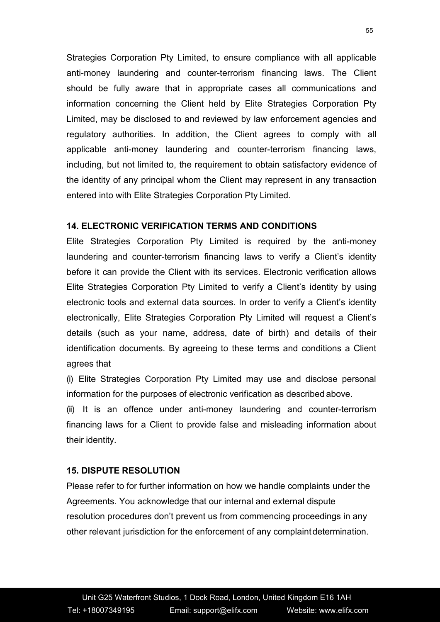Strategies Corporation Pty Limited, to ensure compliance with all applicable anti-money laundering and counter-terrorism financing laws. The Client should be fully aware that in appropriate cases all communications and information concerning the Client held by Elite Strategies Corporation Pty Limited, may be disclosed to and reviewed by law enforcement agencies and regulatory authorities. In addition, the Client agrees to comply with all applicable anti-money laundering and counter-terrorism financing laws, including, but not limited to, the requirement to obtain satisfactory evidence of the identity of any principal whom the Client may represent in any transaction entered into with Elite Strategies Corporation Pty Limited.

### **14. ELECTRONIC VERIFICATION TERMS AND CONDITIONS**

Elite Strategies Corporation Pty Limited is required by the anti-money laundering and counter-terrorism financing laws to verify a Client's identity before it can provide the Client with its services. Electronic verification allows Elite Strategies Corporation Pty Limited to verify a Client's identity by using electronic tools and external data sources. In order to verify a Client's identity electronically, Elite Strategies Corporation Pty Limited will request a Client's details (such as your name, address, date of birth) and details of their identification documents. By agreeing to these terms and conditions a Client agrees that

(i) Elite Strategies Corporation Pty Limited may use and disclose personal information for the purposes of electronic verification as described above.

(ii) It is an offence under anti-money laundering and counter-terrorism financing laws for a Client to provide false and misleading information about their identity.

#### **15. DISPUTE RESOLUTION**

Please refer to for further information on how we handle complaints under the Agreements. You acknowledge that our internal and external dispute resolution procedures don't prevent us from commencing proceedings in any other relevant jurisdiction for the enforcement of any complaintdetermination.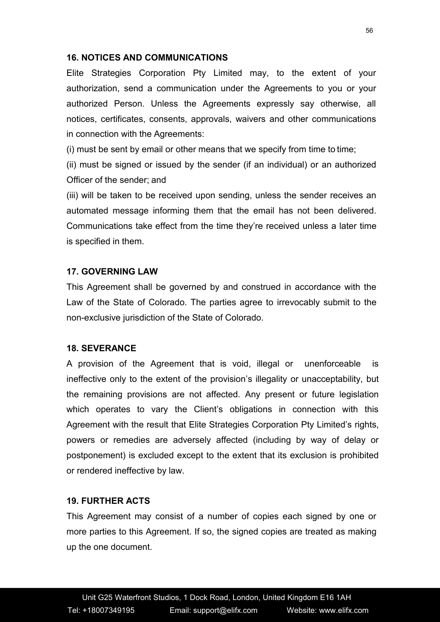#### **16. NOTICES AND COMMUNICATIONS**

Elite Strategies Corporation Pty Limited may, to the extent of your authorization, send a communication under the Agreements to you or your authorized Person. Unless the Agreements expressly say otherwise, all notices, certificates, consents, approvals, waivers and other communications in connection with the Agreements:

(i) must be sent by email or other means that we specify from time to time;

(ii) must be signed or issued by the sender (if an individual) or an authorized Officer of the sender; and

(iii) will be taken to be received upon sending, unless the sender receives an automated message informing them that the email has not been delivered. Communications take effect from the time they're received unless a later time is specified in them.

# **17. GOVERNING LAW**

This Agreement shall be governed by and construed in accordance with the Law of the State of Colorado. The parties agree to irrevocably submit to the non-exclusive jurisdiction of the State of Colorado.

### **18. SEVERANCE**

A provision of the Agreement that is void, illegal or unenforceable is ineffective only to the extent of the provision's illegality or unacceptability, but the remaining provisions are not affected. Any present or future legislation which operates to vary the Client's obligations in connection with this Agreement with the result that Elite Strategies Corporation Pty Limited's rights, powers or remedies are adversely affected (including by way of delay or postponement) is excluded except to the extent that its exclusion is prohibited or rendered ineffective by law.

# **19. FURTHER ACTS**

This Agreement may consist of a number of copies each signed by one or more parties to this Agreement. If so, the signed copies are treated as making up the one document.